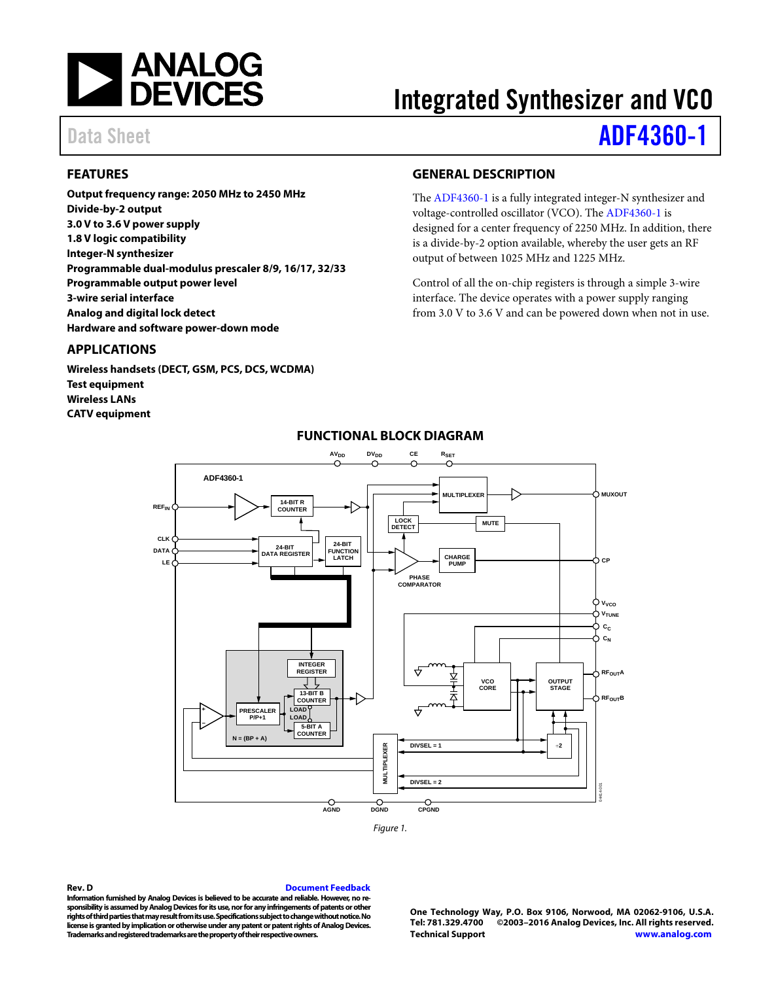

# Integrated Synthesizer and VCO

## Data Sheet **[ADF4360-1](http://www.analog.com/adf4360-1?doc=adf4360-1.pdf)**

## <span id="page-0-0"></span>**FEATURES**

**Output frequency range: 2050 MHz to 2450 MHz Divide-by-2 output 3.0 V to 3.6 V power supply 1.8 V logic compatibility Integer-N synthesizer Programmable dual-modulus prescaler 8/9, 16/17, 32/33 Programmable output power level 3-wire serial interface Analog and digital lock detect Hardware and software power-down mode**

#### <span id="page-0-1"></span>**APPLICATIONS**

<span id="page-0-3"></span>**Wireless handsets (DECT, GSM, PCS, DCS, WCDMA) Test equipment Wireless LANs CATV equipment**

### <span id="page-0-2"></span>**GENERAL DESCRIPTION**

The [ADF4360-1](http://www.analog.com/adf4360-1?doc=adf4360-1.pdf) is a fully integrated integer-N synthesizer and voltage-controlled oscillator (VCO). The [ADF4360-1](http://www.analog.com/adf4360-1?doc=adf4360-1.pdf) is designed for a center frequency of 2250 MHz. In addition, there is a divide-by-2 option available, whereby the user gets an RF output of between 1025 MHz and 1225 MHz.

Control of all the on-chip registers is through a simple 3-wire interface. The device operates with a power supply ranging from 3.0 V to 3.6 V and can be powered down when not in use.



## **FUNCTIONAL BLOCK DIAGRAM**

**Rev. D [Document Feedback](https://form.analog.com/Form_Pages/feedback/documentfeedback.aspx?doc=%20ADF4360-1.pdf&page=%201&product=ADF4360-1&rev=D)**

**Information furnished by Analog Devices is believed to be accurate and reliable. However, no responsibility is assumed by Analog Devices for its use, nor for any infringements of patents or other rights of third parties that may result from its use. Specifications subject to change without notice. No license is granted by implication or otherwise under any patent or patent rights of Analog Devices. Trademarks and registered trademarks are the property of their respective owners.**

**One Technology Way, P.O. Box 9106, Norwood, MA 02062-9106, U.S.A. Tel: 781.329.4700 ©2003–2016 Analog Devices, Inc. All rights reserved. [Technical Support](http://www.analog.com/en/content/technical_support_page/fca.html) [www.analog.com](http://www.analog.com/)**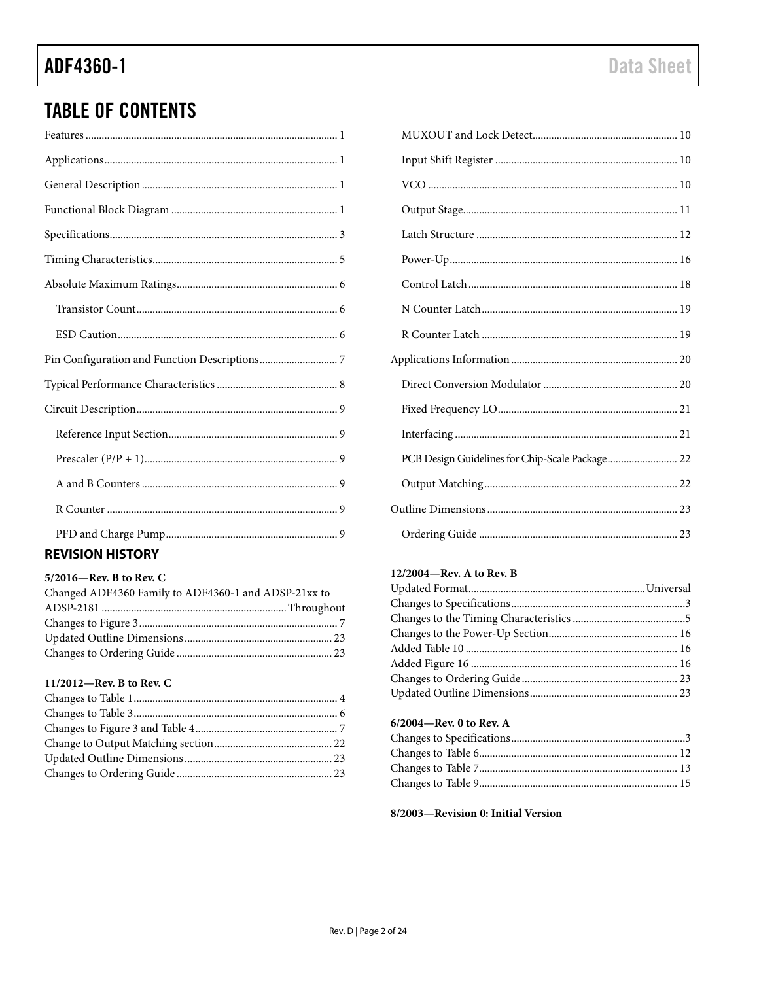## **TABLE OF CONTENTS**

## **REVISION HISTORY**

#### 5/2016-Rev. B to Rev. C

| Changed ADF4360 Family to ADF4360-1 and ADSP-21xx to |  |
|------------------------------------------------------|--|
|                                                      |  |
|                                                      |  |
|                                                      |  |
|                                                      |  |

#### 11/2012-Rev. B to Rev. C

| PCB Design Guidelines for Chip-Scale Package 22 |  |
|-------------------------------------------------|--|
|                                                 |  |
|                                                 |  |
|                                                 |  |

### 12/2004-Rev. A to Rev. B

#### 6/2004-Rev. 0 to Rev. A

#### 8/2003-Revision 0: Initial Version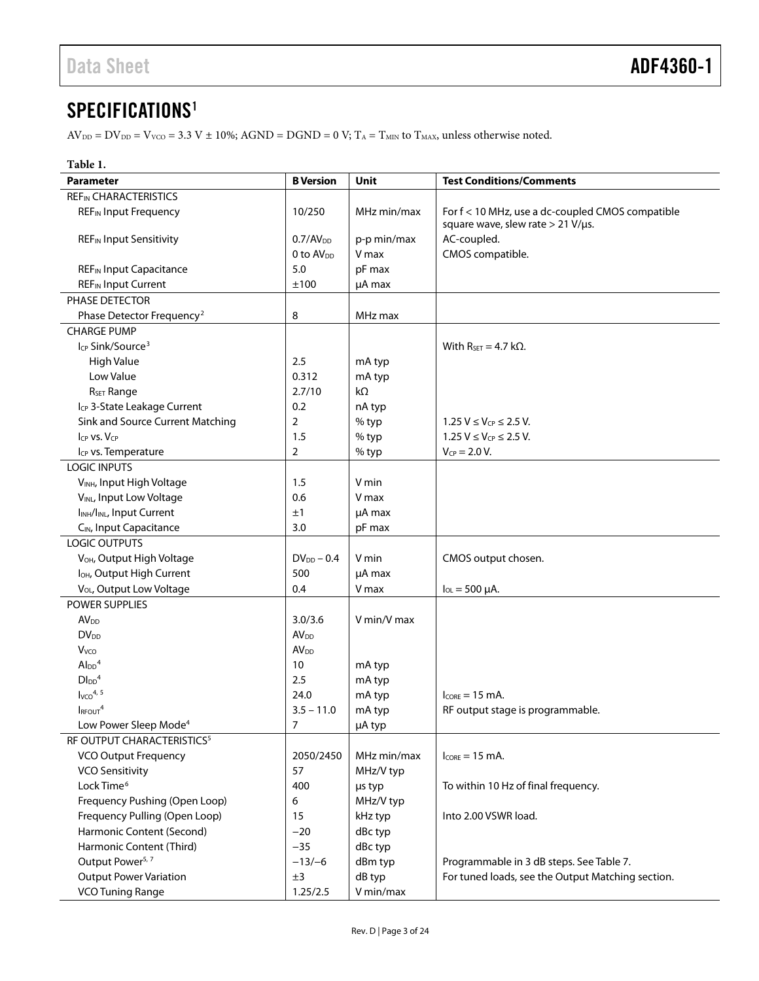## <span id="page-2-0"></span>SPECIFICATIONS<sup>1</sup>

 $\text{AV}_{\text{DD}} = \text{DV}_{\text{DD}} = \text{V}_{\text{VCO}} = 3.3 \text{ V} \pm 10\%; \text{AGND} = \text{DGND} = 0 \text{ V}; \text{T}_\text{A} = \text{T}_{\text{MIN}} \text{ to } \text{T}_{\text{MAX}}$  unless otherwise noted.

| Table 1.                                                             |                         |             |                                                                                       |  |
|----------------------------------------------------------------------|-------------------------|-------------|---------------------------------------------------------------------------------------|--|
| <b>Parameter</b>                                                     | <b>B</b> Version        | Unit        | <b>Test Conditions/Comments</b>                                                       |  |
| <b>REF<sub>IN</sub> CHARACTERISTICS</b>                              |                         |             |                                                                                       |  |
| <b>REF<sub>IN</sub></b> Input Frequency                              | 10/250                  | MHz min/max | For f < 10 MHz, use a dc-coupled CMOS compatible<br>square wave, slew rate > 21 V/µs. |  |
| <b>REF<sub>IN</sub></b> Input Sensitivity                            | 0.7/AV <sub>DD</sub>    | p-p min/max | AC-coupled.                                                                           |  |
|                                                                      | 0 to AV <sub>pp</sub>   | V max       | CMOS compatible.                                                                      |  |
| <b>REF<sub>IN</sub></b> Input Capacitance                            | 5.0                     | pF max      |                                                                                       |  |
| <b>REF<sub>IN</sub></b> Input Current                                | ±100                    | µA max      |                                                                                       |  |
| PHASE DETECTOR                                                       |                         |             |                                                                                       |  |
| Phase Detector Frequency <sup>2</sup>                                | 8                       | MHz max     |                                                                                       |  |
| <b>CHARGE PUMP</b>                                                   |                         |             |                                                                                       |  |
| I <sub>CP</sub> Sink/Source <sup>3</sup>                             |                         |             | With $R_{SET} = 4.7$ k $\Omega$ .                                                     |  |
| High Value                                                           | 2.5                     | mA typ      |                                                                                       |  |
| Low Value                                                            | 0.312                   | mA typ      |                                                                                       |  |
| R <sub>SET</sub> Range                                               | 2.7/10                  | kΩ          |                                                                                       |  |
| I <sub>CP</sub> 3-State Leakage Current                              | 0.2                     | nA typ      |                                                                                       |  |
| Sink and Source Current Matching                                     | 2                       | % typ       | $1.25 V \le V_{CP} \le 2.5 V$ .                                                       |  |
| $I_{CP}$ vs. $V_{CP}$                                                | 1.5                     | % typ       | $1.25 V \le V_{CP} \le 2.5 V$ .                                                       |  |
| Icp vs. Temperature                                                  | $\overline{2}$          | % typ       | $V_{CP} = 2.0 V$ .                                                                    |  |
| <b>LOGIC INPUTS</b>                                                  |                         |             |                                                                                       |  |
| VINH, Input High Voltage                                             | 1.5                     | V min       |                                                                                       |  |
| VINL, Input Low Voltage                                              | 0.6                     | V max       |                                                                                       |  |
| I <sub>INH</sub> /I <sub>INL</sub> , Input Current                   | ±1                      | µA max      |                                                                                       |  |
| C <sub>IN</sub> , Input Capacitance                                  | 3.0                     | pF max      |                                                                                       |  |
| <b>LOGIC OUTPUTS</b>                                                 |                         |             |                                                                                       |  |
| V <sub>OH</sub> , Output High Voltage                                | $DV_{DD} - 0.4$         | V min       | CMOS output chosen.                                                                   |  |
| I <sub>OH</sub> , Output High Current                                | 500                     | µA max      |                                                                                       |  |
| V <sub>OL</sub> , Output Low Voltage                                 | 0.4                     | V max       | $I_{OL} = 500 \mu A$ .                                                                |  |
| POWER SUPPLIES                                                       |                         |             |                                                                                       |  |
| <b>AV<sub>DD</sub></b>                                               | 3.0/3.6                 | V min/V max |                                                                                       |  |
| <b>DV<sub>DD</sub></b>                                               | <b>AV</b> <sub>DD</sub> |             |                                                                                       |  |
| <b>V</b> <sub>vco</sub>                                              | <b>AV<sub>DD</sub></b>  |             |                                                                                       |  |
| $Al_{DD}$ <sup>4</sup>                                               | 10                      | mA typ      |                                                                                       |  |
| $D\text{IDD}^4$                                                      | 2.5                     | mA typ      |                                                                                       |  |
| $I_{VCO}$ <sup>4, 5</sup>                                            | 24.0<br>$3.5 - 11.0$    | mA typ      | $I_{\text{CORF}} = 15 \text{ mA}$ .                                                   |  |
| I <sub>RFOUT</sub> <sup>4</sup><br>Low Power Sleep Mode <sup>4</sup> | 7                       | mA typ      | RF output stage is programmable.                                                      |  |
| RF OUTPUT CHARACTERISTICS <sup>5</sup>                               |                         | µA typ      |                                                                                       |  |
|                                                                      |                         | MHz min/max |                                                                                       |  |
| <b>VCO Output Frequency</b><br><b>VCO Sensitivity</b>                | 2050/2450<br>57         | MHz/V typ   | $I_{CORE} = 15$ mA.                                                                   |  |
| Lock Time <sup>6</sup>                                               | 400                     | µs typ      | To within 10 Hz of final frequency.                                                   |  |
| Frequency Pushing (Open Loop)                                        | 6                       | MHz/V typ   |                                                                                       |  |
| Frequency Pulling (Open Loop)                                        | 15                      | kHz typ     | Into 2.00 VSWR load.                                                                  |  |
| Harmonic Content (Second)                                            | $-20$                   | dBc typ     |                                                                                       |  |
| Harmonic Content (Third)                                             | $-35$                   | dBc typ     |                                                                                       |  |
| Output Power <sup>5, 7</sup>                                         | $-13/-6$                | dBm typ     | Programmable in 3 dB steps. See Table 7.                                              |  |
| <b>Output Power Variation</b>                                        | ±3                      | dB typ      | For tuned loads, see the Output Matching section.                                     |  |
| <b>VCO Tuning Range</b>                                              | 1.25/2.5                | V min/max   |                                                                                       |  |
|                                                                      |                         |             |                                                                                       |  |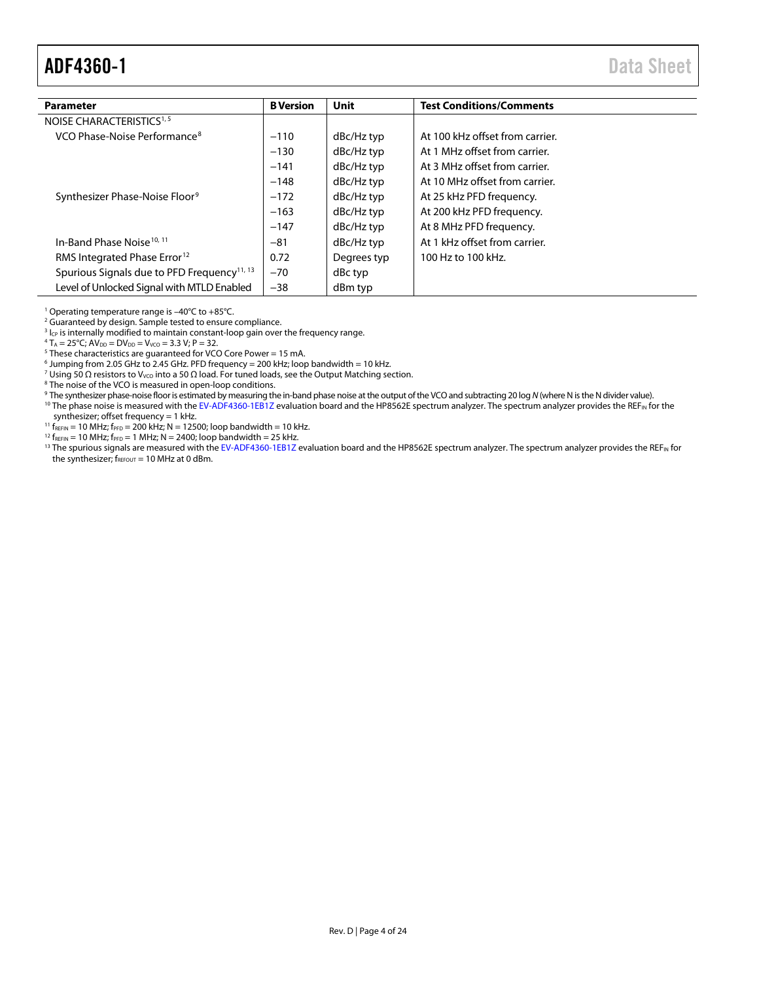<span id="page-3-0"></span>

| <b>Parameter</b>                                        | <b>B</b> Version | Unit        | <b>Test Conditions/Comments</b> |
|---------------------------------------------------------|------------------|-------------|---------------------------------|
| NOISE CHARACTERISTICS <sup>1, 5</sup>                   |                  |             |                                 |
| VCO Phase-Noise Performance <sup>8</sup>                | $-110$           | dBc/Hz typ  | At 100 kHz offset from carrier. |
|                                                         | $-130$           | dBc/Hz typ  | At 1 MHz offset from carrier.   |
|                                                         | $-141$           | dBc/Hz typ  | At 3 MHz offset from carrier.   |
|                                                         | $-148$           | dBc/Hz typ  | At 10 MHz offset from carrier.  |
| Synthesizer Phase-Noise Floor <sup>9</sup>              | $-172$           | dBc/Hz typ  | At 25 kHz PFD frequency.        |
|                                                         | $-163$           | dBc/Hz typ  | At 200 kHz PFD frequency.       |
|                                                         | $-147$           | dBc/Hz typ  | At 8 MHz PFD frequency.         |
| In-Band Phase Noise <sup>10, 11</sup>                   | $-81$            | dBc/Hz typ  | At 1 kHz offset from carrier.   |
| RMS Integrated Phase Error <sup>12</sup>                | 0.72             | Degrees typ | 100 Hz to 100 kHz.              |
| Spurious Signals due to PFD Frequency <sup>11, 13</sup> | $-70$            | dBc typ     |                                 |
| Level of Unlocked Signal with MTLD Enabled              | $-38$            | dBm typ     |                                 |

<sup>1</sup> Operating temperature range is –40°C to +85°C.

<sup>2</sup> Guaranteed by design. Sample tested to ensure compliance.

 $3$  I<sub>CP</sub> is internally modified to maintain constant-loop gain over the frequency range.

 $4 T_A = 25^{\circ}$ C; A $V_{DD} = DV_{DD} = V_{VCO} = 3.3 V$ ; P = 32.

<sup>5</sup> These characteristics are guaranteed for VCO Core Power = 15 mA.

 $6$  Jumping from 2.05 GHz to 2.45 GHz. PFD frequency = 200 kHz; loop bandwidth = 10 kHz.

<sup>7</sup> Using 50 Ω resistors to V<sub>VCO</sub> into a 50 Ω load. For tuned loads, see th[e Output Matching](#page-21-1) section.

<sup>8</sup> The noise of the VCO is measured in open-loop conditions.

- <sup>9</sup> The synthesizer phase-noise floor is estimated by measuring the in-band phase noise at the output of the VCO and subtracting 20 log *N* (where N is the N divider value).
- <sup>10</sup> The phase noise is measured with th[e EV-ADF4360-1EB1Z](http://www.analog.com/adf4360-1?doc=adf4360-1.pdf) evaluation board and the HP8562E spectrum analyzer. The spectrum analyzer provides the REF<sub>IN</sub> for the synthesizer; offset frequency = 1 kHz.
- $^{11}$  f<sub>REFIN</sub> = 10 MHz; f<sub>PFD</sub> = 200 kHz; N = 12500; loop bandwidth = 10 kHz.

 $12 f_{REFIN} = 10 MHz$ ;  $f_{PFD} = 1 MHz$ ; N = 2400; loop bandwidth = 25 kHz.

<sup>13</sup> The spurious signals are measured with th[e EV-ADF4360-1EB1Z](http://www.analog.com/adf4360-1?doc=adf4360-1.pdf) evaluation board and the HP8562E spectrum analyzer. The spectrum analyzer provides the REF<sub>IN</sub> for the synthesizer;  $f_{\text{REFOUT}} = 10 \text{ MHz at } 0 \text{ dBm}$ .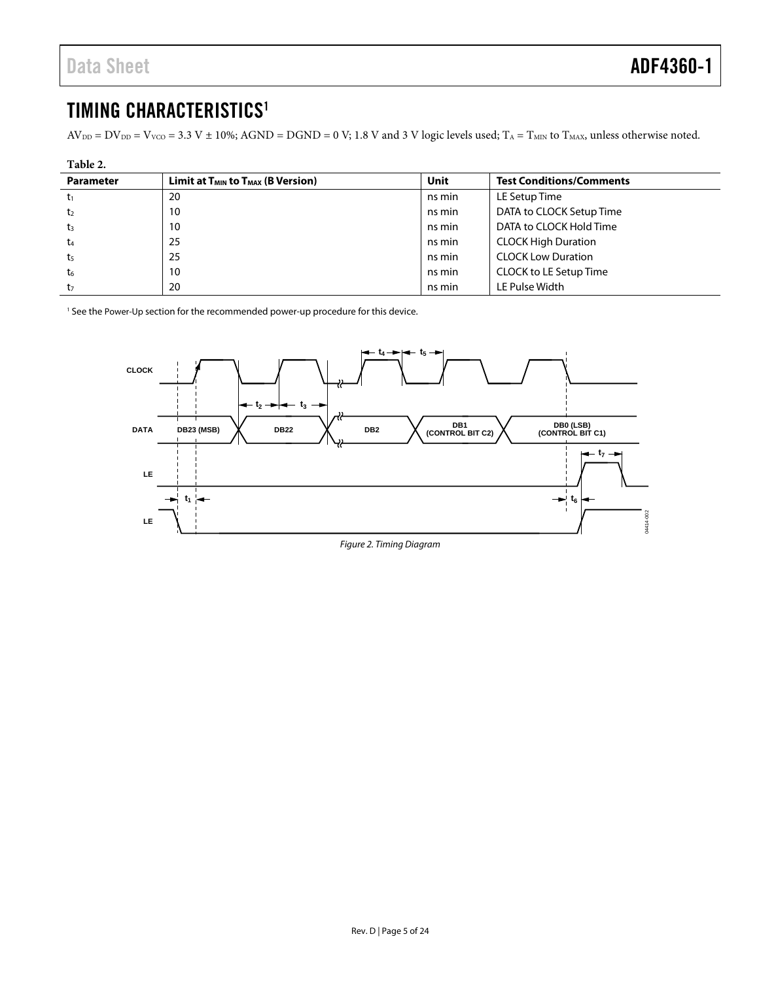## <span id="page-4-0"></span>TIMING CHARACTERISTICS<sup>1</sup>

 $AV_{DD} = DV_{DD} = V_{VCO} = 3.3 V \pm 10\%$ ; AGND = DGND = 0 V; 1.8 V and 3 V logic levels used; T<sub>A</sub> = T<sub>MIN</sub> to T<sub>MAX</sub>, unless otherwise noted.

| Table 2.         |                                                           |        |                                 |  |
|------------------|-----------------------------------------------------------|--------|---------------------------------|--|
| <b>Parameter</b> | Limit at T <sub>MIN</sub> to T <sub>MAX</sub> (B Version) | Unit   | <b>Test Conditions/Comments</b> |  |
| t1               | 20                                                        | ns min | LE Setup Time                   |  |
| t <sub>2</sub>   | 10                                                        | ns min | DATA to CLOCK Setup Time        |  |
| t <sub>3</sub>   | 10                                                        | ns min | DATA to CLOCK Hold Time         |  |
| t <sub>4</sub>   | 25                                                        | ns min | <b>CLOCK High Duration</b>      |  |
| t <sub>5</sub>   | 25                                                        | ns min | <b>CLOCK Low Duration</b>       |  |
| t <sub>6</sub>   | 10                                                        | ns min | CLOCK to LE Setup Time          |  |
| t,               | 20                                                        | ns min | LE Pulse Width                  |  |

<sup>1</sup> See th[e Power-Up s](#page-15-0)ection for the recommended power-up procedure for this device.

<span id="page-4-1"></span>

Figure 2. Timing Diagram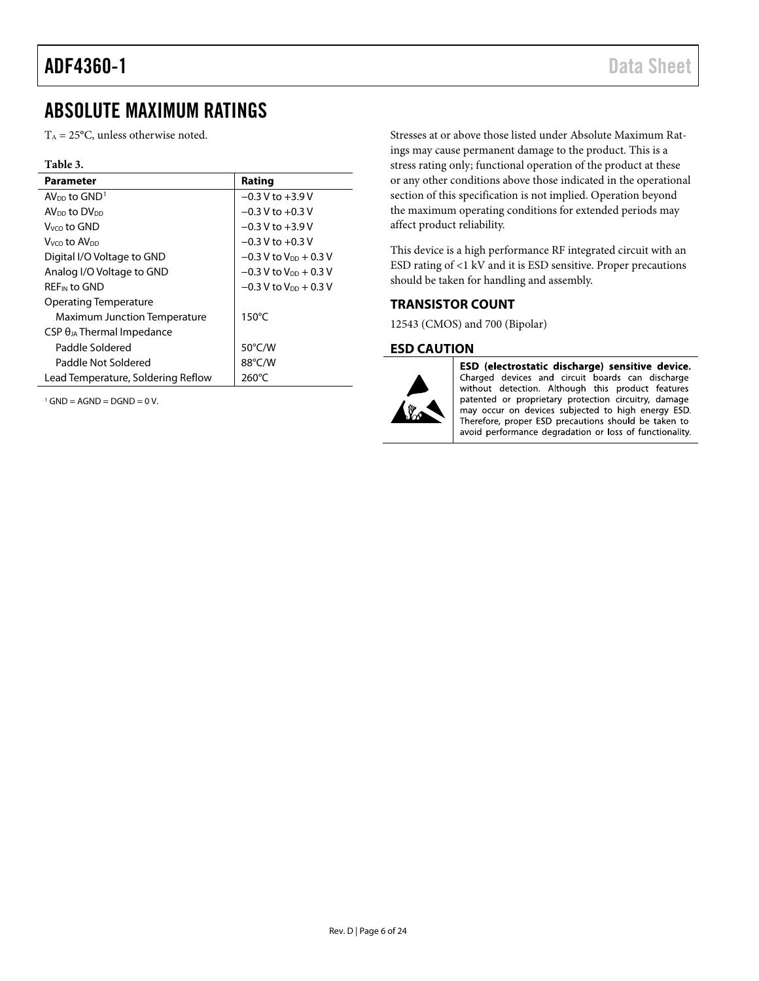## <span id="page-5-0"></span>ABSOLUTE MAXIMUM RATINGS

 $T_A = 25$ °C, unless otherwise noted.

#### **Table 3.**

| <b>Parameter</b>                     | Rating                              |
|--------------------------------------|-------------------------------------|
| $AV_{DD}$ to $GND1$                  | $-0.3$ V to $+3.9$ V                |
| AV <sub>DD</sub> to DV <sub>DD</sub> | $-0.3$ V to $+0.3$ V                |
| $V_{VCD}$ to GND                     | $-0.3$ V to $+3.9$ V                |
| Vyco t <b>o AV</b> pp                | $-0.3$ V to $+0.3$ V                |
| Digital I/O Voltage to GND           | $-0.3$ V to V <sub>DD</sub> + 0.3 V |
| Analog I/O Voltage to GND            | $-0.3$ V to V <sub>DD</sub> + 0.3 V |
| <b>REF<sub>IN</sub></b> to GND       | $-0.3$ V to V <sub>pp</sub> + 0.3 V |
| Operating Temperature                |                                     |
| <b>Maximum Junction Temperature</b>  | $150^{\circ}$ C                     |
| $CSP \theta_{JA}$ Thermal Impedance  |                                     |
| Paddle Soldered                      | 50°C/W                              |
| Paddle Not Soldered                  | 88°C/W                              |
| Lead Temperature, Soldering Reflow   | 260°C                               |

 $1$  GND = AGND = DGND = 0 V.

Stresses at or above those listed under Absolute Maximum Ratings may cause permanent damage to the product. This is a stress rating only; functional operation of the product at these or any other conditions above those indicated in the operational section of this specification is not implied. Operation beyond the maximum operating conditions for extended periods may affect product reliability.

This device is a high performance RF integrated circuit with an ESD rating of <1 kV and it is ESD sensitive. Proper precautions should be taken for handling and assembly.

#### <span id="page-5-1"></span>**TRANSISTOR COUNT**

12543 (CMOS) and 700 (Bipolar)

#### <span id="page-5-2"></span>**ESD CAUTION**



ESD (electrostatic discharge) sensitive device. Charged devices and circuit boards can discharge without detection. Although this product features patented or proprietary protection circuitry, damage may occur on devices subjected to high energy ESD. Therefore, proper ESD precautions should be taken to avoid performance degradation or loss of functionality.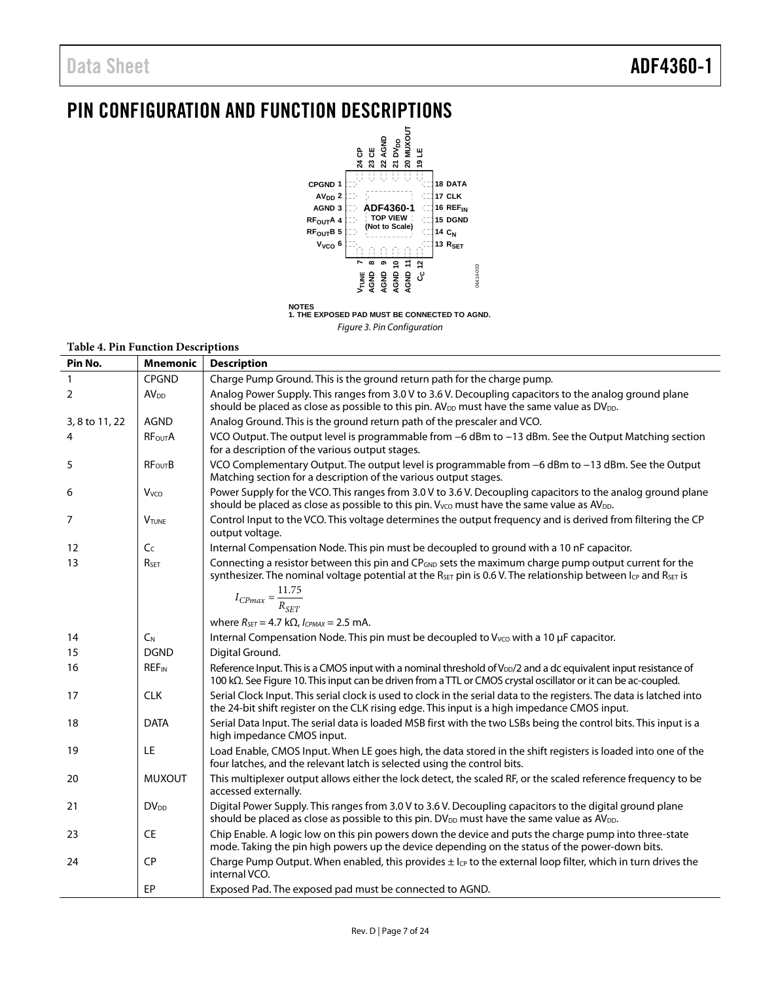## <span id="page-6-0"></span>PIN CONFIGURATION AND FUNCTION DESCRIPTIONS



*Figure 3. Pin Configuration*

#### **Table 4. Pin Function Descriptions**

| Pin No.        | <b>Mnemonic</b>          | <b>Description</b>                                                                                                                                                                                                                                             |
|----------------|--------------------------|----------------------------------------------------------------------------------------------------------------------------------------------------------------------------------------------------------------------------------------------------------------|
| $\mathbf{1}$   | <b>CPGND</b>             | Charge Pump Ground. This is the ground return path for the charge pump.                                                                                                                                                                                        |
| 2              | AV <sub>DD</sub>         | Analog Power Supply. This ranges from 3.0 V to 3.6 V. Decoupling capacitors to the analog ground plane<br>should be placed as close as possible to this pin. AV <sub>DD</sub> must have the same value as DV <sub>DD</sub> .                                   |
| 3, 8 to 11, 22 | <b>AGND</b>              | Analog Ground. This is the ground return path of the prescaler and VCO.                                                                                                                                                                                        |
| 4              | <b>RF<sub>out</sub>A</b> | VCO Output. The output level is programmable from -6 dBm to -13 dBm. See the Output Matching section<br>for a description of the various output stages.                                                                                                        |
| 5              | <b>RFourB</b>            | VCO Complementary Output. The output level is programmable from -6 dBm to -13 dBm. See the Output<br>Matching section for a description of the various output stages.                                                                                          |
| 6              | Vvco                     | Power Supply for the VCO. This ranges from 3.0 V to 3.6 V. Decoupling capacitors to the analog ground plane<br>should be placed as close as possible to this pin. V <sub>VCO</sub> must have the same value as AV <sub>DD</sub> .                              |
| 7              | <b>V</b> TUNE            | Control Input to the VCO. This voltage determines the output frequency and is derived from filtering the CP<br>output voltage.                                                                                                                                 |
| 12             | C <sub>C</sub>           | Internal Compensation Node. This pin must be decoupled to ground with a 10 nF capacitor.                                                                                                                                                                       |
| 13             | RSET                     | Connecting a resistor between this pin and CP <sub>GND</sub> sets the maximum charge pump output current for the<br>synthesizer. The nominal voltage potential at the R <sub>SET</sub> pin is 0.6 V. The relationship between $I_{CP}$ and R <sub>SET</sub> is |
|                |                          | $I_{CPmax} = \frac{11.75}{R_{SFT}}$                                                                                                                                                                                                                            |
|                |                          | where $R_{\text{SET}} = 4.7 \text{ k}\Omega$ , $I_{CPMAX} = 2.5 \text{ mA}$ .                                                                                                                                                                                  |
| 14             | $C_N$                    | Internal Compensation Node. This pin must be decoupled to Vvco with a 10 µF capacitor.                                                                                                                                                                         |
| 15             | <b>DGND</b>              | Digital Ground.                                                                                                                                                                                                                                                |
| 16             | <b>REF<sub>IN</sub></b>  | Reference Input. This is a CMOS input with a nominal threshold of V <sub>DD</sub> /2 and a dc equivalent input resistance of<br>100 kΩ. See Figure 10. This input can be driven from a TTL or CMOS crystal oscillator or it can be ac-coupled.                 |
| 17             | <b>CLK</b>               | Serial Clock Input. This serial clock is used to clock in the serial data to the registers. The data is latched into<br>the 24-bit shift register on the CLK rising edge. This input is a high impedance CMOS input.                                           |
| 18             | <b>DATA</b>              | Serial Data Input. The serial data is loaded MSB first with the two LSBs being the control bits. This input is a<br>high impedance CMOS input.                                                                                                                 |
| 19             | <b>LE</b>                | Load Enable, CMOS Input. When LE goes high, the data stored in the shift registers is loaded into one of the<br>four latches, and the relevant latch is selected using the control bits.                                                                       |
| 20             | <b>MUXOUT</b>            | This multiplexer output allows either the lock detect, the scaled RF, or the scaled reference frequency to be<br>accessed externally.                                                                                                                          |
| 21             | <b>DV<sub>DD</sub></b>   | Digital Power Supply. This ranges from 3.0 V to 3.6 V. Decoupling capacitors to the digital ground plane<br>should be placed as close as possible to this pin. DV <sub>DD</sub> must have the same value as AV <sub>DD</sub> .                                 |
| 23             | <b>CE</b>                | Chip Enable. A logic low on this pin powers down the device and puts the charge pump into three-state<br>mode. Taking the pin high powers up the device depending on the status of the power-down bits.                                                        |
| 24             | <b>CP</b>                | Charge Pump Output. When enabled, this provides $\pm$ l <sub>CP</sub> to the external loop filter, which in turn drives the<br>internal VCO.                                                                                                                   |
|                | EP                       | Exposed Pad. The exposed pad must be connected to AGND.                                                                                                                                                                                                        |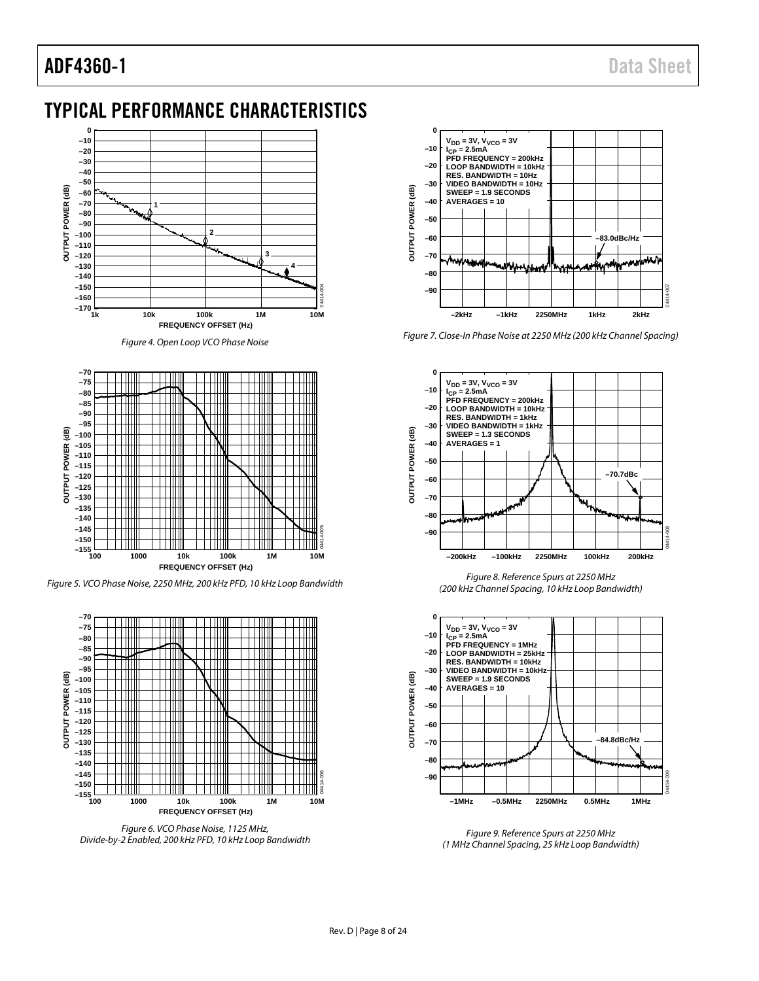## <span id="page-7-0"></span>TYPICAL PERFORMANCE CHARACTERISTICS



*Figure 4. Open Loop VCO Phase Noise*



*Figure 5. VCO Phase Noise, 2250 MHz, 200 kHz PFD, 10 kHz Loop Bandwidth*



*Figure 6. VCO Phase Noise, 1125 MHz, Divide-by-2 Enabled, 200 kHz PFD, 10 kHz Loop Bandwidth*



*Figure 7. Close-In Phase Noise at 2250 MHz (200 kHz Channel Spacing)*



*Figure 8. Reference Spurs at 2250 MHz (200 kHz Channel Spacing, 10 kHz Loop Bandwidth)*



*Figure 9. Reference Spurs at 2250 MHz (1 MHz Channel Spacing, 25 kHz Loop Bandwidth)*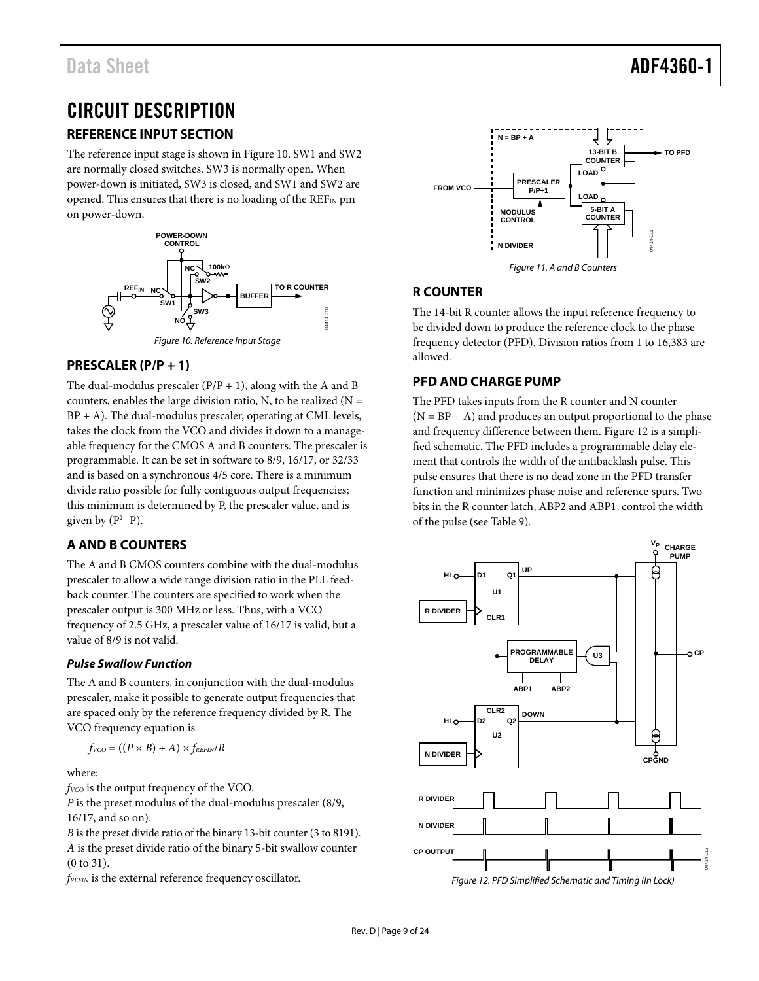## <span id="page-8-0"></span>CIRCUIT DESCRIPTION

## <span id="page-8-1"></span>**REFERENCE INPUT SECTION**

The reference input stage is shown i[n Figure 10.](#page-8-6) SW1 and SW2 are normally closed switches. SW3 is normally open. When power-down is initiated, SW3 is closed, and SW1 and SW2 are opened. This ensures that there is no loading of the  $REF_{IN}$  pin on power-down.



### <span id="page-8-6"></span><span id="page-8-2"></span>**PRESCALER (P/P + 1)**

The dual-modulus prescaler  $(P/P + 1)$ , along with the A and B counters, enables the large division ratio, N, to be realized  $(N =$  $BP + A$ ). The dual-modulus prescaler, operating at CML levels, takes the clock from the VCO and divides it down to a manageable frequency for the CMOS A and B counters. The prescaler is programmable. It can be set in software to 8/9, 16/17, or 32/33 and is based on a synchronous 4/5 core. There is a minimum divide ratio possible for fully contiguous output frequencies; this minimum is determined by P, the prescaler value, and is given by  $(P^2-P)$ .

### <span id="page-8-3"></span>**A AND B COUNTERS**

The A and B CMOS counters combine with the dual-modulus prescaler to allow a wide range division ratio in the PLL feedback counter. The counters are specified to work when the prescaler output is 300 MHz or less. Thus, with a VCO frequency of 2.5 GHz, a prescaler value of 16/17 is valid, but a value of 8/9 is not valid.

#### **Pulse Swallow Function**

The A and B counters, in conjunction with the dual-modulus prescaler, make it possible to generate output frequencies that are spaced only by the reference frequency divided by R. The VCO frequency equation is

$$
f_{VCO} = ((P \times B) + A) \times f_{REFIN}/R
$$

where:

*f<sub>VCO</sub>* is the output frequency of the VCO.

*P* is the preset modulus of the dual-modulus prescaler (8/9, 16/17, and so on).

*B* is the preset divide ratio of the binary 13-bit counter (3 to 8191). *A* is the preset divide ratio of the binary 5-bit swallow counter (0 to 31).

*fREFIN* is the external reference frequency oscillator.



### <span id="page-8-4"></span>**R COUNTER**

The 14-bit R counter allows the input reference frequency to be divided down to produce the reference clock to the phase frequency detector (PFD). Division ratios from 1 to 16,383 are allowed.

## <span id="page-8-5"></span>**PFD AND CHARGE PUMP**

The PFD takes inputs from the R counter and N counter  $(N = BP + A)$  and produces an output proportional to the phase and frequency difference between them[. Figure 12](#page-8-7) is a simplified schematic. The PFD includes a programmable delay element that controls the width of the antibacklash pulse. This pulse ensures that there is no dead zone in the PFD transfer function and minimizes phase noise and reference spurs. Two bits in the R counter latch, ABP2 and ABP1, control the width of the pulse (see [Table 9\)](#page-14-0).

<span id="page-8-7"></span>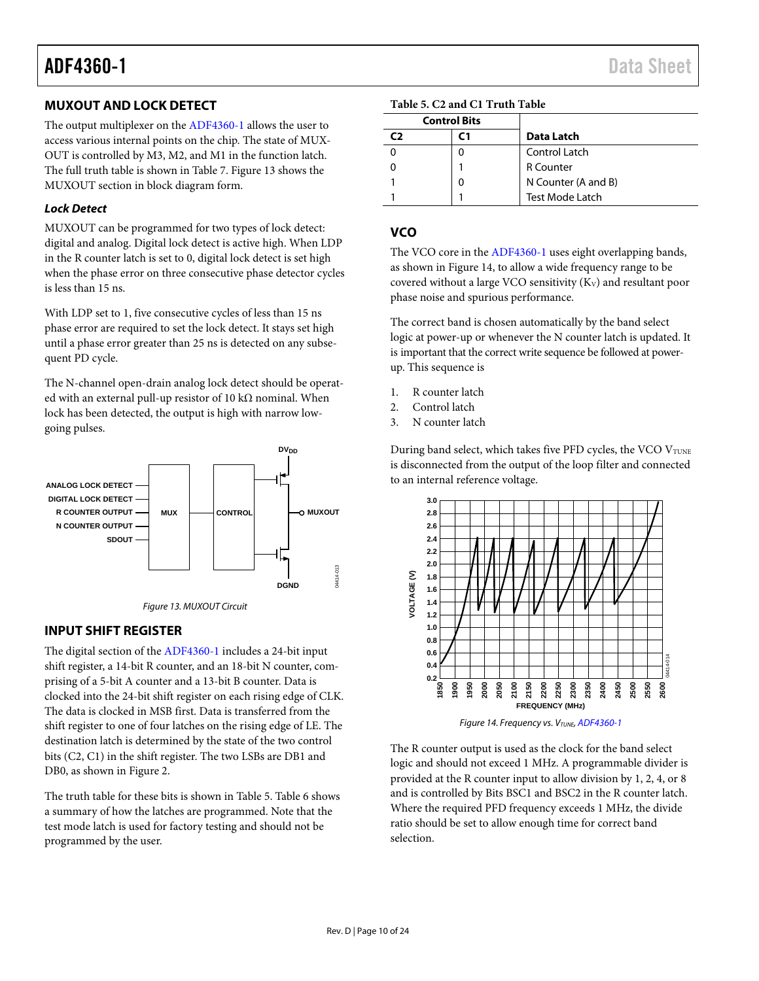## <span id="page-9-0"></span>**MUXOUT AND LOCK DETECT**

The output multiplexer on th[e ADF4360-1](http://www.analog.com/adf4360-1?doc=adf4360-1.pdf) allows the user to access various internal points on the chip. The state of MUX-OUT is controlled by M3, M2, and M1 in the function latch. The full truth table is shown i[n Table 7.](#page-12-0) [Figure 13](#page-9-3) shows the MUXOUT section in block diagram form.

### *Lock Detect*

MUXOUT can be programmed for two types of lock detect: digital and analog. Digital lock detect is active high. When LDP in the R counter latch is set to 0, digital lock detect is set high when the phase error on three consecutive phase detector cycles is less than 15 ns.

With LDP set to 1, five consecutive cycles of less than 15 ns phase error are required to set the lock detect. It stays set high until a phase error greater than 25 ns is detected on any subsequent PD cycle.

The N-channel open-drain analog lock detect should be operated with an external pull-up resistor of 10 k $\Omega$  nominal. When lock has been detected, the output is high with narrow lowgoing pulses.





## <span id="page-9-3"></span><span id="page-9-1"></span>**INPUT SHIFT REGISTER**

The digital section of th[e ADF4360-1](http://www.analog.com/adf4360-1?doc=adf4360-1.pdf) includes a 24-bit input shift register, a 14-bit R counter, and an 18-bit N counter, comprising of a 5-bit A counter and a 13-bit B counter. Data is clocked into the 24-bit shift register on each rising edge of CLK. The data is clocked in MSB first. Data is transferred from the shift register to one of four latches on the rising edge of LE. The destination latch is determined by the state of the two control bits (C2, C1) in the shift register. The two LSBs are DB1 and DB0, as shown in [Figure 2.](#page-4-1)

The truth table for these bits is shown in [Table 5.](#page-9-4) [Table 6](#page-11-1) shows a summary of how the latches are programmed. Note that the test mode latch is used for factory testing and should not be programmed by the user.

<span id="page-9-4"></span>

| <b>Control Bits</b> |   |                        |
|---------------------|---|------------------------|
| C)                  |   | Data Latch             |
|                     |   | Control Latch          |
|                     |   | <b>R</b> Counter       |
|                     | 0 | N Counter (A and B)    |
|                     |   | <b>Test Mode Latch</b> |

### <span id="page-9-2"></span>**VCO**

The VCO core in th[e ADF4360-1](http://www.analog.com/adf4360-1?doc=adf4360-1.pdf) uses eight overlapping bands, as shown i[n Figure 14,](#page-9-5) to allow a wide frequency range to be covered without a large VCO sensitivity  $(K_V)$  and resultant poor phase noise and spurious performance.

The correct band is chosen automatically by the band select logic at power-up or whenever the N counter latch is updated. It is important that the correct write sequence be followed at powerup. This sequence is

- 1. R counter latch
- 2. Control latch
- 3. N counter latch

During band select, which takes five PFD cycles, the VCO VTUNE is disconnected from the output of the loop filter and connected to an internal reference voltage.



*Figure 14. Frequency vs. VTUNE[, ADF4360-1](http://www.analog.com/adf4360-1?doc=adf4360-1.pdf)*

<span id="page-9-5"></span>The R counter output is used as the clock for the band select logic and should not exceed 1 MHz. A programmable divider is provided at the R counter input to allow division by 1, 2, 4, or 8 and is controlled by Bits BSC1 and BSC2 in the R counter latch. Where the required PFD frequency exceeds 1 MHz, the divide ratio should be set to allow enough time for correct band selection.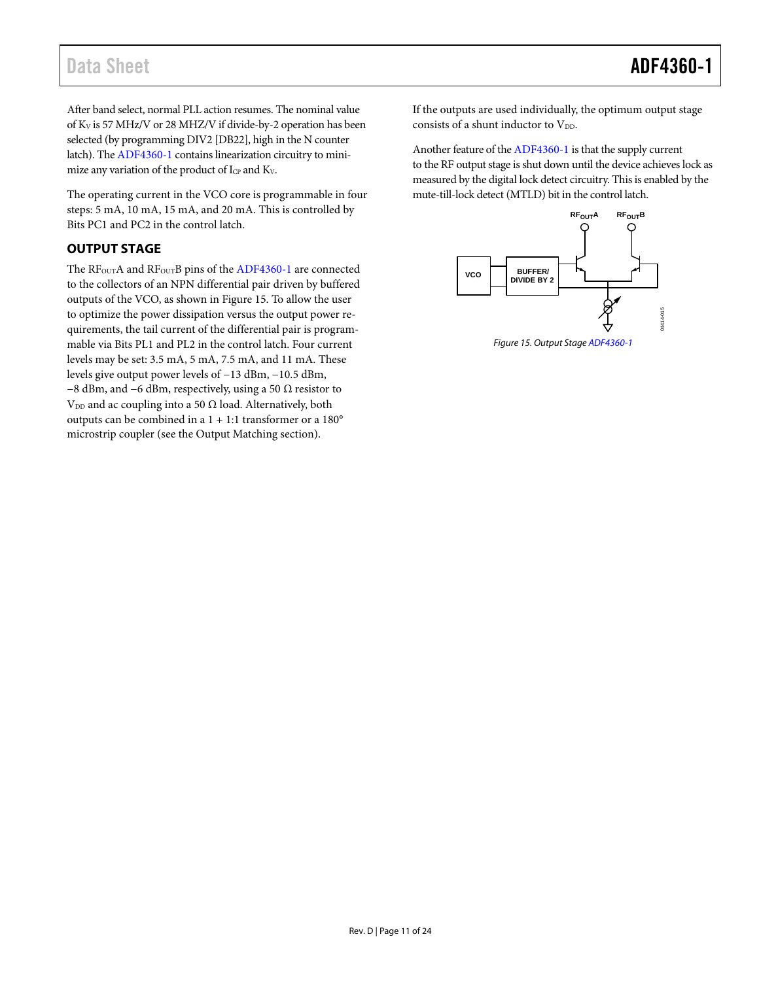After band select, normal PLL action resumes. The nominal value of KV is 57 MHz/V or 28 MHZ/V if divide-by-2 operation has been selected (by programming DIV2 [DB22], high in the N counter latch). Th[e ADF4360-1](http://www.analog.com/adf4360-1?doc=adf4360-1.pdf) contains linearization circuitry to minimize any variation of the product of I<sub>CP</sub> and K<sub>V</sub>.

The operating current in the VCO core is programmable in four steps: 5 mA, 10 mA, 15 mA, and 20 mA. This is controlled by Bits PC1 and PC2 in the control latch.

## <span id="page-10-0"></span>**OUTPUT STAGE**

The RF<sub>OUT</sub>A and RF<sub>OUT</sub>B pins of the [ADF4360-1](http://www.analog.com/adf4360-1?doc=adf4360-1.pdf) are connected to the collectors of an NPN differential pair driven by buffered outputs of the VCO, as shown i[n Figure 15.](#page-10-1) To allow the user to optimize the power dissipation versus the output power requirements, the tail current of the differential pair is programmable via Bits PL1 and PL2 in the control latch. Four current levels may be set: 3.5 mA, 5 mA, 7.5 mA, and 11 mA. These levels give output power levels of −13 dBm, −10.5 dBm, −8 dBm, and −6 dBm, respectively, using a 50 Ω resistor to V<sub>DD</sub> and ac coupling into a 50  $\Omega$  load. Alternatively, both outputs can be combined in a 1 + 1:1 transformer or a 180° microstrip coupler (see the [Output Matching](#page-21-1) section).

If the outputs are used individually, the optimum output stage consists of a shunt inductor to  $V_{DD}$ .

Another feature of th[e ADF4360-1](http://www.analog.com/adf4360-1?doc=adf4360-1.pdf) is that the supply current to the RF output stage is shut down until the device achieves lock as measured by the digital lock detect circuitry. This is enabled by the mute-till-lock detect (MTLD) bit in the control latch.



<span id="page-10-1"></span>*Figure 15. Output Stag[e ADF4360-1](http://www.analog.com/adf4360-1?doc=adf4360-1.pdf)*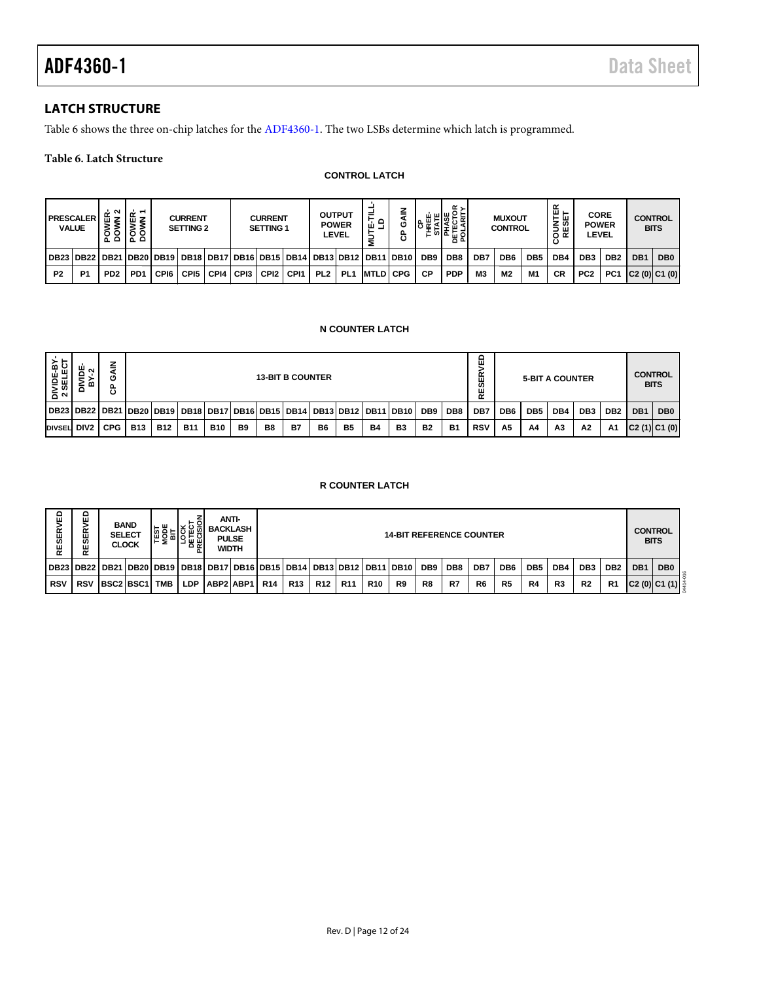## <span id="page-11-0"></span>**LATCH STRUCTURE**

[Table 6](#page-11-1) shows the three on-chip latches for th[e ADF4360-1.](http://www.analog.com/adf4360-1?doc=adf4360-1.pdf) The two LSBs determine which latch is programmed.

### <span id="page-11-1"></span>**Table 6. Latch Structure**

#### **CONTROL LATCH**

|                | <b>PRESCALER</b><br><b>VALUE</b>                                                                | $\sim$<br>۰<br>٥<br>ᅐᅌ      | ╷空下<br>ÿξ<br>$\circ$<br>ᄫᄫ |      | <b>CURRENT</b><br><b>SETTING 2</b> |      |        | <b>CURRENT</b><br>SETTING 1 |                  |                 | <b>OUTPUT</b><br><b>POWER</b><br>LEVEL | ≓<br>운로           | z<br>ပ<br>ී | ш<br>ပ          | α,<br>喉눈<br>ш<br>인도필의 |                | <b>MUXOUT</b><br><b>CONTROL</b> |     | 없<br>통쓺<br>ய<br>≃<br>o | <b>CORE</b><br><b>POWER</b> | LEVEL           | <b>CONTROL</b>  | <b>BITS</b>     |
|----------------|-------------------------------------------------------------------------------------------------|-----------------------------|----------------------------|------|------------------------------------|------|--------|-----------------------------|------------------|-----------------|----------------------------------------|-------------------|-------------|-----------------|-----------------------|----------------|---------------------------------|-----|------------------------|-----------------------------|-----------------|-----------------|-----------------|
|                | DB23   DB22   DB21   DB20   DB19   DB18   DB17   DB16   DB15   DB14   DB13   DB12   DB11   DB10 |                             |                            |      |                                    |      |        |                             |                  |                 |                                        |                   |             | DB <sub>9</sub> | DB <sub>8</sub>       | DB7            | DB <sub>6</sub>                 | DB5 | DB4                    | DB <sub>3</sub>             | DB <sub>2</sub> | DB <sub>1</sub> | DB <sub>0</sub> |
| P <sub>2</sub> | P <sub>1</sub>                                                                                  | P <sub>D</sub> <sub>2</sub> | PD <sub>1</sub>            | CPI6 | CPI5                               | CPI4 | I CPI3 | CPI <sub>2</sub>            | CP <sub>11</sub> | PL <sub>2</sub> | PL <sub>1</sub>                        | <b>IMTLDI CPG</b> |             | СP              | <b>PDP</b>            | M <sub>3</sub> | M <sub>2</sub>                  | M1  | <b>CR</b>              | PC <sub>2</sub>             | PC <sub>1</sub> | C2(0) C1(0)     |                 |

#### **N COUNTER LATCH**

| DIVIDE-BY-<br>2 SELECT | DIVIDE<br>ิ<br>٠r<br>m           | <b>GAIN</b><br>င်            |              |            |                                                                                 |                                                                                             |                          | <b>13-BIT B COUNTER</b> |           |           |                        |           |                  |                 |                 | ۵<br>><br>Æ<br><b>S</b><br>RE |                 | <b>5-BIT A COUNTER</b> |                               |                 |                 |     | <b>CONTROL</b><br><b>BITS</b> |
|------------------------|----------------------------------|------------------------------|--------------|------------|---------------------------------------------------------------------------------|---------------------------------------------------------------------------------------------|--------------------------|-------------------------|-----------|-----------|------------------------|-----------|------------------|-----------------|-----------------|-------------------------------|-----------------|------------------------|-------------------------------|-----------------|-----------------|-----|-------------------------------|
|                        | DB23   DB22   DB21   DB20   DB19 |                              |              |            |                                                                                 |                                                                                             | DB18 DB17 DB16 DB15 DB14 |                         |           |           | <b>DB13 DB12</b>       |           | <b>DB11 DB10</b> | DB <sub>9</sub> | DB <sub>8</sub> | DB7                           | DB <sub>6</sub> | DB <sub>5</sub>        | DB4                           | DB <sub>3</sub> | DB <sub>2</sub> | DB1 | DB <sub>0</sub>               |
| DIVSEL DIV2            |                                  | <b>CPG</b>                   | <b>B13</b>   | <b>B12</b> | <b>B11</b>                                                                      | <b>B10</b>                                                                                  | B <sub>9</sub>           | B <sub>8</sub>          | <b>B7</b> | <b>B6</b> | <b>B5</b>              | <b>B4</b> | B <sub>3</sub>   | <b>B2</b>       | <b>B1</b>       | <b>RSV</b>                    | A <sub>5</sub>  | A4                     | A3                            | A2              | Α1              |     | C2(1) C1(0)                   |
|                        |                                  |                              |              |            |                                                                                 |                                                                                             |                          |                         |           |           | <b>R COUNTER LATCH</b> |           |                  |                 |                 |                               |                 |                        |                               |                 |                 |     |                               |
| RESERVED               | <b>RVED</b><br>RESEI             | <b>BAND</b><br><b>SELECT</b> | <b>CLOCK</b> |            | <b>TEST<br/> MODE<br/> MODE<br/> LOCK<br/> DETECT<br/> DETECT<br/> PRECISIC</b> | <b>ANTI-</b><br><b>BACKLASH</b><br><b>14-BIT REFERENCE COUNTER</b><br><b>PULSE</b><br>WIDTH |                          |                         |           |           |                        |           |                  |                 |                 |                               |                 |                        | <b>CONTROL</b><br><b>BITS</b> |                 |                 |     |                               |

#### **R COUNTER LATCH**

| 品<br>ESERV<br>α | ≏<br>ш<br>≃<br>ш<br>ທ<br>ш<br>≃                                       | <b>BAND</b><br><b>SELECT</b><br><b>CLOCK</b> | . ш | 공휴회        | <b>BACKLASH</b> | ANTI-<br><b>PULSE</b><br>WIDTH |            |            |                 |            | <b>14-BIT REFERENCE COUNTER</b> |                 |     |                |                 |                 |                |                 |                 | <b>CONTROL</b><br><b>BITS</b> |                               |
|-----------------|-----------------------------------------------------------------------|----------------------------------------------|-----|------------|-----------------|--------------------------------|------------|------------|-----------------|------------|---------------------------------|-----------------|-----|----------------|-----------------|-----------------|----------------|-----------------|-----------------|-------------------------------|-------------------------------|
|                 | DB23 DB22 DB21 DB20 DB19 DB18 DB17 DB16 DB15 DB14 DB13 DB12 DB11 DB10 |                                              |     |            |                 |                                |            |            |                 |            |                                 | DB <sub>9</sub> | DB8 | DB7            | DB <sub>6</sub> | DB <sub>5</sub> | DB4            | DB <sub>3</sub> | DB <sub>2</sub> | DB <sub>1</sub>               | DB <sub>0</sub>               |
| <b>RSV</b>      | <b>RSV</b>                                                            | <b>IBSC2 BSC1 I TMB</b>                      |     | <b>LDP</b> |                 | ABP2 ABP1  R14                 | <b>R13</b> | <b>R12</b> | R <sub>11</sub> | <b>R10</b> | R9                              | R8              | R7  | R <sub>6</sub> | R <sub>5</sub>  | R4              | R <sub>3</sub> | R <sub>2</sub>  | R <sub>1</sub>  |                               | $ C2(0) C1(1) ^{\frac{4}{3}}$ |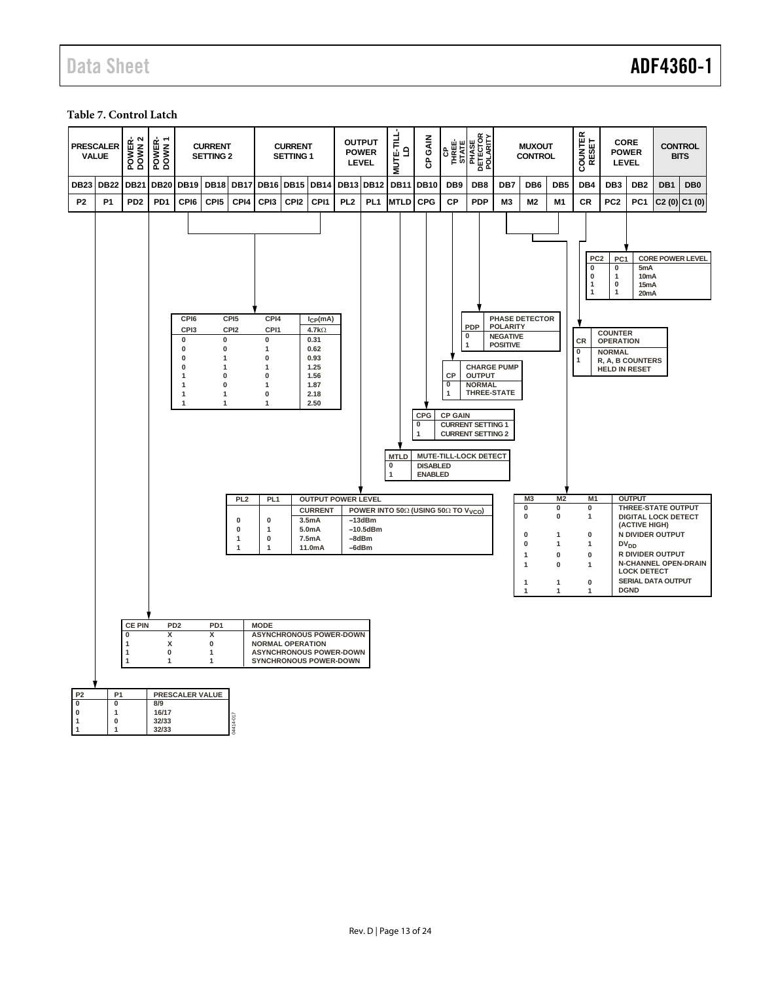## Data Sheet **ADF4360-1**

#### <span id="page-12-0"></span>**Table 7. Control Latch**

|                                                       | <b>PRESCALER</b><br><b>VALUE</b>                                                                                                                                                                                                                                                                                                                                                                                                                                                                                                                                                                                                                 | POWER-<br>DOWN 2                     | POWER-<br>DOWN 1                                                              |                                | <b>CURRENT</b><br><b>SETTING 2</b>                                                   |                                      |                                                                                                                                             | <b>CURRENT</b><br><b>SETTING 1</b>                                  |                                                     |                 | <b>OUTPUT</b><br><b>POWER</b><br><b>LEVEL</b>  | MUTE-TILL-<br>$\mathbf{a}$ | GAIN<br>ဇိ                                                |                 | <b>CP<br/>THREE-</b><br>STATE<br>PHASE<br>DETECTOR<br>POLARITY<br>POLARITY |                                                       | <b>MUXOUT</b><br><b>CONTROL</b>                               |                                                                                | COUNTER<br>RESET                                                         | <b>CORE</b><br><b>POWER</b><br><b>LEVEL</b>                                          |                                                                                         | <b>CONTROL</b>                                                                                                 | <b>BITS</b>             |
|-------------------------------------------------------|--------------------------------------------------------------------------------------------------------------------------------------------------------------------------------------------------------------------------------------------------------------------------------------------------------------------------------------------------------------------------------------------------------------------------------------------------------------------------------------------------------------------------------------------------------------------------------------------------------------------------------------------------|--------------------------------------|-------------------------------------------------------------------------------|--------------------------------|--------------------------------------------------------------------------------------|--------------------------------------|---------------------------------------------------------------------------------------------------------------------------------------------|---------------------------------------------------------------------|-----------------------------------------------------|-----------------|------------------------------------------------|----------------------------|-----------------------------------------------------------|-----------------|----------------------------------------------------------------------------|-------------------------------------------------------|---------------------------------------------------------------|--------------------------------------------------------------------------------|--------------------------------------------------------------------------|--------------------------------------------------------------------------------------|-----------------------------------------------------------------------------------------|----------------------------------------------------------------------------------------------------------------|-------------------------|
| <b>DB23</b>                                           | <b>DB22</b>                                                                                                                                                                                                                                                                                                                                                                                                                                                                                                                                                                                                                                      | <b>DB21</b>                          | <b>DB20</b>                                                                   | <b>DB19</b>                    | <b>DB18</b>                                                                          | <b>DB17</b>                          | <b>DB16 DB15</b>                                                                                                                            |                                                                     | <b>DB14</b>                                         |                 | <b>DB13 DB12</b>                               | <b>DB11</b>                | <b>DB10</b>                                               | DB <sub>9</sub> | DB <sub>8</sub>                                                            | DB7                                                   | DB <sub>6</sub>                                               | DB <sub>5</sub>                                                                | DB4                                                                      | DB <sub>3</sub>                                                                      | DB <sub>2</sub>                                                                         | DB1                                                                                                            | DB <sub>0</sub>         |
| P <sub>2</sub>                                        | <b>P1</b>                                                                                                                                                                                                                                                                                                                                                                                                                                                                                                                                                                                                                                        | P <sub>D</sub> <sub>2</sub>          | P <sub>D</sub> 1                                                              | CPI6                           | CPI <sub>5</sub>                                                                     | CPI4                                 | CPI3                                                                                                                                        | CPI <sub>2</sub>                                                    | CPI1                                                | PL <sub>2</sub> | PL <sub>1</sub>                                | <b>MTLD</b>                | <b>CPG</b>                                                | СP              | <b>PDP</b>                                                                 | M <sub>3</sub>                                        | M2                                                            | M <sub>1</sub>                                                                 | CR                                                                       | PC <sub>2</sub>                                                                      | PC <sub>1</sub>                                                                         |                                                                                                                | $C2(0)$ $C1(0)$         |
|                                                       |                                                                                                                                                                                                                                                                                                                                                                                                                                                                                                                                                                                                                                                  |                                      |                                                                               | CPI6<br>CPI3<br>$\pmb{0}$<br>0 | $\pmb{0}$<br>0                                                                       | CPI <sub>5</sub><br>CPI <sub>2</sub> | CPI4<br>CPI1<br>$\pmb{0}$<br>1                                                                                                              |                                                                     | $I_{CP}(mA)$<br>$4.7k\Omega$<br>0.31                |                 |                                                |                            |                                                           |                 | <b>PDP</b><br>0<br>$\overline{1}$                                          | <b>POLARITY</b><br><b>NEGATIVE</b><br><b>POSITIVE</b> | <b>PHASE DETECTOR</b>                                         |                                                                                | PC <sub>2</sub><br>0<br>$\bf{0}$<br>$\mathbf{1}$<br>$\overline{1}$<br>CR | PC <sub>1</sub><br>0<br>$\mathbf{1}$<br>0<br>1<br><b>COUNTER</b><br><b>OPERATION</b> | 5mA<br>10mA<br>15mA<br>20mA                                                             |                                                                                                                | <b>CORE POWER LEVEL</b> |
|                                                       | 0.62<br>$\bf{0}$<br>$\mathbf 0$<br>$\mathbf{1}$<br>0.93<br>$\bf{0}$<br>1<br>1<br>1.25<br>$\mathbf{0}$<br>$\bf{0}$<br>1.56<br><b>CP</b><br>$\mathbf{1}$<br>$\overline{\mathfrak{o}}$<br>$\mathbf{0}$<br>1.87<br>$\overline{1}$<br>1<br>$\mathbf{1}$<br>1<br>1<br>0<br>2.18<br>$\overline{1}$<br>$\mathbf{1}$<br>$\mathbf{1}$<br>2.50<br>CPG<br><b>CP GAIN</b><br>0<br><b>CURRENT SETTING 1</b><br><b>CURRENT SETTING 2</b><br>MUTE-TILL-LOCK DETECT<br><b>MTLD</b><br><b>DISABLED</b><br>0<br><b>ENABLED</b><br>$\mathbf 1$<br><b>OUTPUT POWER LEVEL</b><br>PL <sub>2</sub><br>PL <sub>1</sub><br>POWER INTO 50Ω (USING 50Ω TO V <sub>VCO</sub> ) |                                      |                                                                               |                                |                                                                                      |                                      |                                                                                                                                             | <b>CHARGE PUMP</b><br><b>OUTPUT</b><br><b>NORMAL</b><br>THREE-STATE |                                                     |                 |                                                | $\pmb{0}$<br>$\mathbf{1}$  | <b>NORMAL</b><br>R, A, B COUNTERS<br><b>HELD IN RESET</b> |                 |                                                                            |                                                       |                                                               |                                                                                |                                                                          |                                                                                      |                                                                                         |                                                                                                                |                         |
|                                                       |                                                                                                                                                                                                                                                                                                                                                                                                                                                                                                                                                                                                                                                  |                                      |                                                                               |                                |                                                                                      | 0<br>0<br>1<br>1                     | 0<br>1<br>0<br>$\mathbf{1}$                                                                                                                 |                                                                     | <b>CURRENT</b><br>3.5mA<br>5.0mA<br>7.5mA<br>11.0mA |                 | $-13dBm$<br>$-10.5$ d $Bm$<br>$-8dBr$<br>-6dBm |                            |                                                           |                 |                                                                            |                                                       | M <sub>3</sub><br>0<br>$\bf{0}$<br>0<br>0<br>1<br>1<br>1<br>1 | M <sub>2</sub><br>0<br>$\bf{0}$<br>1<br>$\mathbf 1$<br>0<br>$\Omega$<br>1<br>1 | M1<br>0<br>$\mathbf{1}$<br>0<br>1<br>0<br>1<br>$\pmb{0}$<br>1            |                                                                                      | <b>OUTPUT</b><br>(ACTIVE HIGH)<br>DV <sub>DD</sub><br><b>LOCK DETECT</b><br><b>DGND</b> | THREE-STATE OUTPUT<br><b>DIGITAL LOCK DETECT</b><br>N DIVIDER OUTPUT<br>R DIVIDER OUTPUT<br>SERIAL DATA OUTPUT | N-CHANNEL OPEN-DRAIN    |
| P <sub>2</sub><br>0<br>$\pmb{0}$<br>$\mathbf{1}$<br>1 | P <sub>1</sub><br>0<br>$\mathbf{1}$<br>$\bf{0}$<br>$\mathbf{1}$                                                                                                                                                                                                                                                                                                                                                                                                                                                                                                                                                                                  | <b>CE PIN</b><br>$\bf{0}$<br>-1<br>1 | PD <sub>2</sub><br>x<br>x<br>$\pmb{0}$<br>1<br>8/9<br>16/17<br>32/33<br>32/33 |                                | PD <sub>1</sub><br>X<br>$\pmb{0}$<br>$\mathbf{1}$<br>$\mathbf{1}$<br>PRESCALER VALUE | 4414-017                             | <b>MODE</b><br><b>ASYNCHRONOUS POWER-DOWN</b><br><b>NORMAL OPERATION</b><br><b>ASYNCHRONOUS POWER-DOWN</b><br><b>SYNCHRONOUS POWER-DOWN</b> |                                                                     |                                                     |                 |                                                |                            |                                                           |                 |                                                                            |                                                       |                                                               |                                                                                |                                                                          |                                                                                      |                                                                                         |                                                                                                                |                         |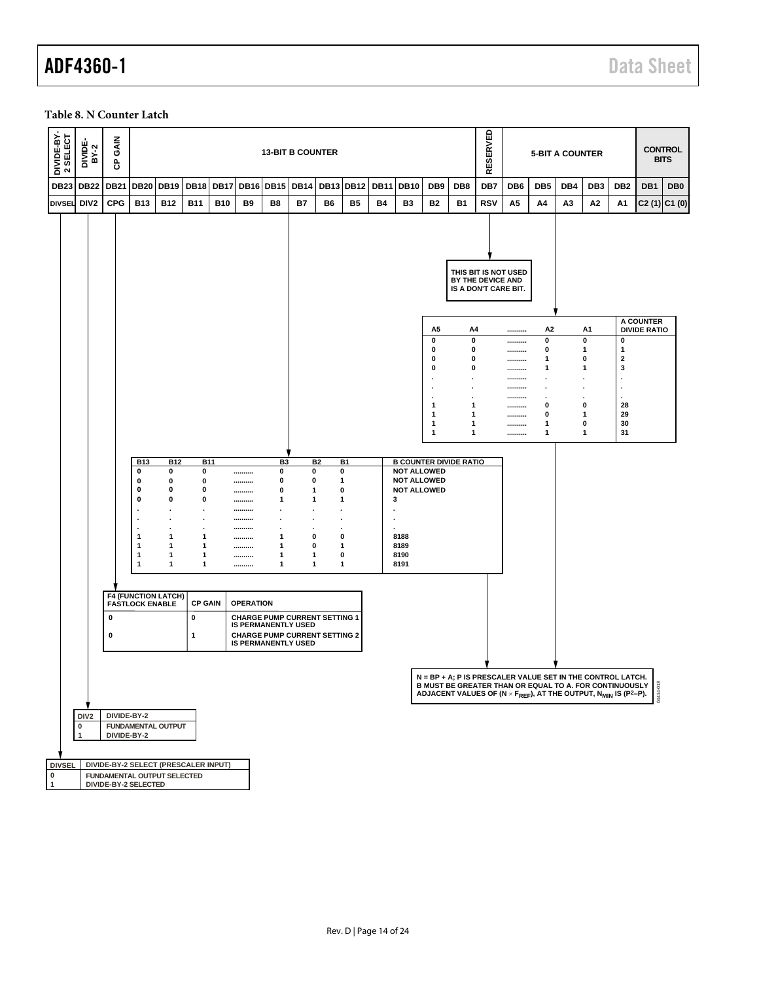#### <span id="page-13-0"></span>**Table 8. N Counter Latch**

| DIVIDE-BY-<br>2 SELECT      |                           | DIVIDE-<br>BY-2  | <b>GAIN</b><br>සි |                                                     |                 |                     |             |                  |                     | <b>13-BIT B COUNTER</b>                                            |             |                |             |                |                                                                                                                                                                                                                                             |                     | RESERVED                                  |                          |                        | <b>5-BIT A COUNTER</b> |                                        |                                  |                                  | <b>CONTROL</b><br><b>BITS</b> |
|-----------------------------|---------------------------|------------------|-------------------|-----------------------------------------------------|-----------------|---------------------|-------------|------------------|---------------------|--------------------------------------------------------------------|-------------|----------------|-------------|----------------|---------------------------------------------------------------------------------------------------------------------------------------------------------------------------------------------------------------------------------------------|---------------------|-------------------------------------------|--------------------------|------------------------|------------------------|----------------------------------------|----------------------------------|----------------------------------|-------------------------------|
| <b>DB23</b>                 |                           | <b>DB22</b>      | <b>DB21</b>       |                                                     | DB20 DB19 DB18  |                     | <b>DB17</b> | <b>DB16</b>      | <b>DB15</b>         | <b>DB14</b>                                                        | <b>DB13</b> | <b>DB12</b>    | <b>DB11</b> | <b>DB10</b>    | DB <sub>9</sub>                                                                                                                                                                                                                             | DB <sub>8</sub>     | DB7                                       | DB <sub>6</sub>          | DB <sub>5</sub>        | DB4                    | DB <sub>3</sub>                        | DB2                              | DB <sub>1</sub>                  | DB <sub>0</sub>               |
| <b>DIVSEL</b>               |                           | DIV <sub>2</sub> | <b>CPG</b>        | <b>B13</b>                                          | <b>B12</b>      | <b>B11</b>          | <b>B10</b>  | <b>B9</b>        | B8                  | <b>B7</b>                                                          | B6          | B <sub>5</sub> | Β4          | B <sub>3</sub> | <b>B2</b>                                                                                                                                                                                                                                   | <b>B1</b>           | <b>RSV</b>                                | А5                       | A4                     | A3                     | Α2                                     | Α1                               | $C2(1)$ $C1(0)$                  |                               |
|                             |                           |                  |                   |                                                     |                 |                     |             |                  |                     |                                                                    |             |                |             |                |                                                                                                                                                                                                                                             |                     | BY THE DEVICE AND<br>IS A DON'T CARE BIT. | THIS BIT IS NOT USED     |                        |                        |                                        |                                  |                                  |                               |
|                             |                           |                  |                   |                                                     |                 |                     |             |                  |                     |                                                                    |             |                |             |                | A5                                                                                                                                                                                                                                          | A4                  |                                           |                          | А2                     |                        | A1                                     |                                  | A COUNTER<br><b>DIVIDE RATIO</b> |                               |
|                             |                           |                  |                   |                                                     |                 |                     |             |                  |                     |                                                                    |             |                |             |                | 0<br>0                                                                                                                                                                                                                                      | $\pmb{0}$<br>0      |                                           | ----------<br>---------- | 0<br>0                 |                        | $\pmb{0}$<br>$\mathbf{1}$              | 0<br>$\mathbf{1}$                |                                  |                               |
|                             |                           |                  |                   |                                                     |                 |                     |             |                  |                     |                                                                    |             |                |             |                | 0<br>0                                                                                                                                                                                                                                      | 0<br>0              |                                           | ----------               | 1<br>1                 |                        | 0<br>1                                 | $\mathbf 2$<br>3                 |                                  |                               |
|                             |                           |                  |                   |                                                     |                 |                     |             |                  |                     |                                                                    |             |                |             |                |                                                                                                                                                                                                                                             | $\cdot$             |                                           | <br>----------           | $\bullet$              |                        | ٠                                      | ٠                                |                                  |                               |
|                             |                           |                  |                   |                                                     |                 |                     |             |                  |                     |                                                                    |             |                |             |                |                                                                                                                                                                                                                                             | $\blacksquare$<br>٠ |                                           | ----------<br>           | $\bullet$<br>$\bullet$ |                        | $\ddot{\phantom{0}}$<br>$\blacksquare$ | $\blacksquare$<br>$\blacksquare$ |                                  |                               |
|                             |                           |                  |                   |                                                     |                 |                     |             |                  |                     |                                                                    |             |                |             |                | 1<br>1                                                                                                                                                                                                                                      | 1<br>1              |                                           | ----------<br>---------- | 0<br>0                 |                        | 0<br>1                                 | 28<br>29                         |                                  |                               |
|                             |                           |                  |                   |                                                     |                 |                     |             |                  |                     |                                                                    |             |                |             |                | 1<br>1                                                                                                                                                                                                                                      | 1<br>1              |                                           | ----------<br>---------- | 1<br>1                 |                        | 0<br>$\mathbf 1$                       | 30<br>31                         |                                  |                               |
|                             |                           |                  |                   |                                                     |                 |                     |             |                  |                     |                                                                    |             |                |             |                |                                                                                                                                                                                                                                             |                     |                                           |                          |                        |                        |                                        |                                  |                                  |                               |
|                             |                           |                  |                   | <b>B13</b><br>0                                     | <b>B12</b><br>0 | <b>B11</b><br>0     |             |                  | B <sub>3</sub><br>0 | 0                                                                  | <b>B2</b>   | B1<br>0        |             |                | <b>B COUNTER DIVIDE RATIO</b><br><b>NOT ALLOWED</b>                                                                                                                                                                                         |                     |                                           |                          |                        |                        |                                        |                                  |                                  |                               |
|                             |                           |                  |                   | 0                                                   | 0               | 0                   |             | <br>             | 0                   | 0                                                                  |             | 1              |             |                | <b>NOT ALLOWED</b>                                                                                                                                                                                                                          |                     |                                           |                          |                        |                        |                                        |                                  |                                  |                               |
|                             |                           |                  |                   | 0<br>$\mathbf 0$                                    | 0<br>0          | 0<br>0              |             | <br>             | 0<br>1              | $\mathbf{1}$<br>$\mathbf{1}$                                       |             | 0<br>1         |             | 3              | <b>NOT ALLOWED</b>                                                                                                                                                                                                                          |                     |                                           |                          |                        |                        |                                        |                                  |                                  |                               |
|                             |                           |                  |                   |                                                     |                 |                     |             | <br>             |                     |                                                                    |             |                |             |                |                                                                                                                                                                                                                                             |                     |                                           |                          |                        |                        |                                        |                                  |                                  |                               |
|                             |                           |                  |                   |                                                     |                 |                     |             |                  |                     |                                                                    |             |                |             |                |                                                                                                                                                                                                                                             |                     |                                           |                          |                        |                        |                                        |                                  |                                  |                               |
|                             |                           |                  |                   | $\mathbf{1}$<br>$\mathbf 1$                         | 1<br>1          | 1<br>1              |             | <br>             | 1<br>$\mathbf{1}$   | 0<br>0                                                             |             | 0<br>1         |             | 8188<br>8189   |                                                                                                                                                                                                                                             |                     |                                           |                          |                        |                        |                                        |                                  |                                  |                               |
|                             |                           |                  |                   | $\mathbf{1}$<br>1                                   | 1<br>1          | 1<br>1              |             | <br>             | 1<br>$\mathbf{1}$   | 1<br>1                                                             |             | 0<br>1         |             | 8190<br>8191   |                                                                                                                                                                                                                                             |                     |                                           |                          |                        |                        |                                        |                                  |                                  |                               |
|                             |                           |                  |                   |                                                     |                 |                     |             |                  |                     |                                                                    |             |                |             |                |                                                                                                                                                                                                                                             |                     |                                           |                          |                        |                        |                                        |                                  |                                  |                               |
|                             |                           |                  |                   | <b>F4 (FUNCTION LATCH)</b>                          |                 |                     |             |                  |                     |                                                                    |             |                |             |                |                                                                                                                                                                                                                                             |                     |                                           |                          |                        |                        |                                        |                                  |                                  |                               |
|                             |                           |                  | 0                 | <b>FASTLOCK ENABLE</b>                              |                 | <b>CP GAIN</b><br>0 |             | <b>OPERATION</b> |                     | <b>CHARGE PUMP CURRENT SETTING 1</b>                               |             |                |             |                |                                                                                                                                                                                                                                             |                     |                                           |                          |                        |                        |                                        |                                  |                                  |                               |
|                             |                           |                  |                   |                                                     |                 |                     |             |                  |                     | <b>IS PERMANENTLY USED</b>                                         |             |                |             |                |                                                                                                                                                                                                                                             |                     |                                           |                          |                        |                        |                                        |                                  |                                  |                               |
|                             |                           |                  | 0                 |                                                     |                 | $\mathbf{1}$        |             |                  |                     | <b>CHARGE PUMP CURRENT SETTING 2</b><br><b>IS PERMANENTLY USED</b> |             |                |             |                |                                                                                                                                                                                                                                             |                     |                                           |                          |                        |                        |                                        |                                  |                                  |                               |
|                             |                           |                  |                   |                                                     |                 |                     |             |                  |                     |                                                                    |             |                |             |                |                                                                                                                                                                                                                                             |                     |                                           |                          |                        |                        |                                        |                                  |                                  |                               |
|                             |                           |                  |                   |                                                     |                 |                     |             |                  |                     |                                                                    |             |                |             |                |                                                                                                                                                                                                                                             |                     |                                           |                          |                        |                        |                                        |                                  |                                  |                               |
|                             |                           |                  |                   |                                                     |                 |                     |             |                  |                     |                                                                    |             |                |             |                | N = BP + A; P IS PRESCALER VALUE SET IN THE CONTRUL LATOR.<br>B MUST BE GREATER THAN OR EQUAL TO A. FOR CONTINUOUSLY $\frac{8}{3}$<br>A CONTRUCT VALUES OF (N × F <sub>REF</sub> ), AT THE OUTPUT, N <sub>MIN</sub> IS (P <sup>2</sup> –P). |                     |                                           |                          |                        |                        |                                        |                                  |                                  |                               |
|                             |                           | DIV <sub>2</sub> |                   | DIVIDE-BY-2                                         |                 |                     |             |                  |                     |                                                                    |             |                |             |                |                                                                                                                                                                                                                                             |                     |                                           |                          |                        |                        |                                        |                                  |                                  |                               |
|                             | $\pmb{0}$<br>$\mathbf{1}$ |                  |                   | <b>FUNDAMENTAL OUTPUT</b><br>DIVIDE-BY-2            |                 |                     |             |                  |                     |                                                                    |             |                |             |                |                                                                                                                                                                                                                                             |                     |                                           |                          |                        |                        |                                        |                                  |                                  |                               |
|                             |                           |                  |                   |                                                     |                 |                     |             |                  |                     |                                                                    |             |                |             |                |                                                                                                                                                                                                                                             |                     |                                           |                          |                        |                        |                                        |                                  |                                  |                               |
| <b>DIVSEL</b>               |                           |                  |                   | DIVIDE-BY-2 SELECT (PRESCALER INPUT)                |                 |                     |             |                  |                     |                                                                    |             |                |             |                |                                                                                                                                                                                                                                             |                     |                                           |                          |                        |                        |                                        |                                  |                                  |                               |
| $\overline{\bullet}$<br>  1 |                           |                  |                   | FUNDAMENTAL OUTPUT SELECTED<br>DIVIDE-BY-2 SELECTED |                 |                     |             |                  |                     |                                                                    |             |                |             |                |                                                                                                                                                                                                                                             |                     |                                           |                          |                        |                        |                                        |                                  |                                  |                               |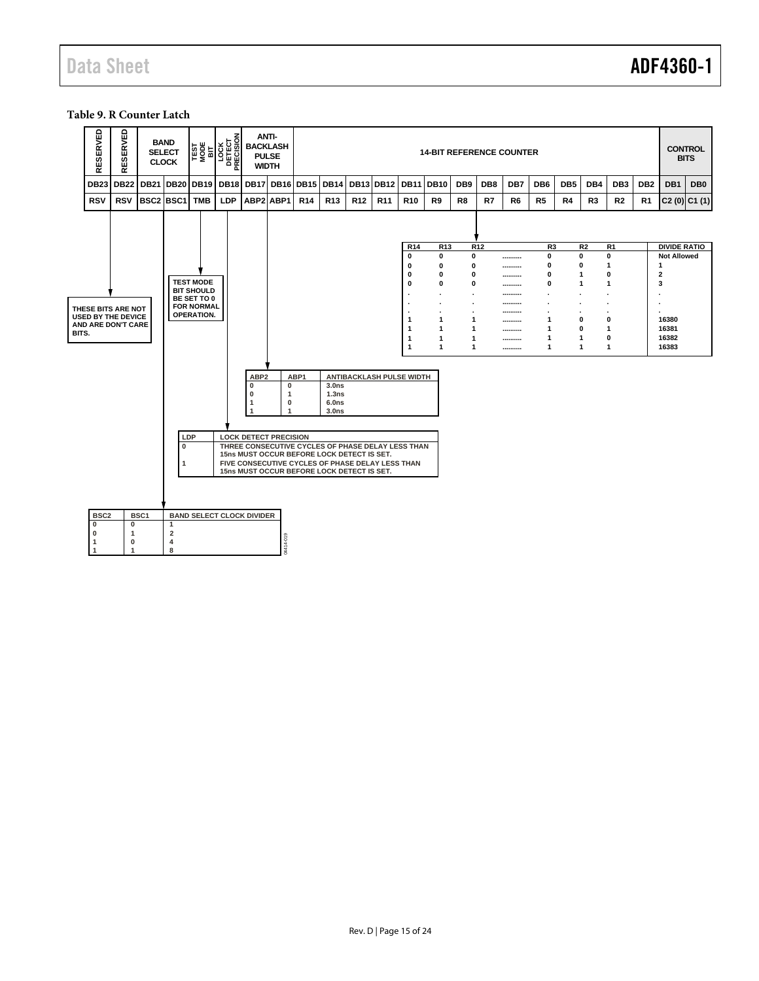#### <span id="page-14-0"></span>**Table 9. R Counter Latch**

|       | SERVED<br>띭       | RESERVED                                        | <b>SELECT</b><br><b>CLOCK</b> | <b>BAND</b>                             |                                  | TEST<br>MODE<br>MODE<br>DETECT<br>DETECT<br>PRECISION<br>PRECISION | ANTI-<br><b>BACKLASH</b><br><b>PULSE</b><br><b>WIDTH</b>                                 |                                                            | <b>14-BIT REFERENCE COUNTER</b> |                                                                      |                 |                                                                               |                   |                      |                   |                 |                |                 |                 |                     |                             | <b>CONTROL</b><br><b>BITS</b> |                                           |                 |
|-------|-------------------|-------------------------------------------------|-------------------------------|-----------------------------------------|----------------------------------|--------------------------------------------------------------------|------------------------------------------------------------------------------------------|------------------------------------------------------------|---------------------------------|----------------------------------------------------------------------|-----------------|-------------------------------------------------------------------------------|-------------------|----------------------|-------------------|-----------------|----------------|-----------------|-----------------|---------------------|-----------------------------|-------------------------------|-------------------------------------------|-----------------|
|       | <b>DB23</b>       | <b>DB22</b>                                     | <b>DB21</b>                   | <b>DB20</b>                             | <b>DB19</b>                      | <b>DB18</b>                                                        | <b>DB17</b>                                                                              | <b>DB16</b>                                                | <b>DB15</b>                     | <b>DB14</b>                                                          | <b>DB13</b>     | <b>DB12</b>                                                                   | <b>DB11</b>       | <b>DB10</b>          | DB <sub>9</sub>   | DB <sub>8</sub> | DB7            | DB <sub>6</sub> | DB <sub>5</sub> | DB4                 | DB <sub>3</sub>             | DB <sub>2</sub>               | DB <sub>1</sub>                           | DB <sub>0</sub> |
|       | <b>RSV</b>        | <b>RSV</b>                                      | BSC2 BSC1                     |                                         | <b>TMB</b>                       | LDP                                                                | ABP2 ABP1                                                                                |                                                            | R <sub>14</sub>                 | R <sub>13</sub>                                                      | R <sub>12</sub> | R <sub>11</sub>                                                               | R <sub>10</sub>   | R9                   | R <sub>8</sub>    | R7              | R <sub>6</sub> | R <sub>5</sub>  | R4              | R <sub>3</sub>      | R <sub>2</sub>              | R <sub>1</sub>                |                                           | $C2(0)$ $C1(1)$ |
|       |                   |                                                 |                               |                                         |                                  |                                                                    |                                                                                          |                                                            |                                 |                                                                      |                 |                                                                               | R <sub>14</sub>   |                      |                   | R <sub>12</sub> |                | R <sub>3</sub>  |                 |                     | R <sub>1</sub>              |                               |                                           |                 |
|       |                   |                                                 |                               |                                         |                                  |                                                                    |                                                                                          |                                                            |                                 |                                                                      |                 |                                                                               | $\bf{0}$          | R <sub>13</sub><br>0 | $\mathbf 0$       |                 |                | 0               |                 | R <sub>2</sub><br>0 | $\mathbf{0}$                |                               | <b>DIVIDE RATIO</b><br><b>Not Allowed</b> |                 |
|       |                   |                                                 |                               |                                         |                                  |                                                                    |                                                                                          |                                                            |                                 |                                                                      |                 |                                                                               | $\mathbf 0$       | 0                    | 0                 |                 |                | 0               |                 | 0                   | $\mathbf{1}$                |                               | $\mathbf{1}$                              |                 |
|       |                   |                                                 |                               |                                         | <b>TEST MODE</b>                 |                                                                    |                                                                                          |                                                            |                                 |                                                                      |                 |                                                                               | 0<br>$\mathbf{0}$ | 0<br>0               | $\mathbf{0}$<br>0 |                 |                | 0<br>0          |                 | 1<br>1              | $\mathbf 0$<br>$\mathbf{1}$ |                               | $\overline{\mathbf{2}}$<br>3              |                 |
|       |                   |                                                 |                               |                                         | <b>BIT SHOULD</b>                |                                                                    |                                                                                          |                                                            |                                 |                                                                      |                 |                                                                               |                   | $\blacksquare$       |                   |                 | <br>           |                 |                 |                     | $\blacksquare$              |                               |                                           |                 |
|       |                   |                                                 |                               |                                         | BE SET TO 0<br><b>FOR NORMAL</b> |                                                                    |                                                                                          |                                                            |                                 |                                                                      |                 |                                                                               |                   |                      |                   |                 |                |                 |                 |                     |                             |                               |                                           |                 |
|       |                   | THESE BITS ARE NOT<br><b>USED BY THE DEVICE</b> |                               |                                         | <b>OPERATION.</b>                |                                                                    |                                                                                          |                                                            |                                 |                                                                      |                 |                                                                               | 1                 | 1                    | 1                 |                 |                | 1               |                 | 0                   | $\mathbf 0$                 |                               | 16380                                     |                 |
|       |                   | AND ARE DON'T CARE                              |                               |                                         |                                  |                                                                    |                                                                                          |                                                            |                                 |                                                                      |                 |                                                                               | $\mathbf{1}$      | $\mathbf{1}$         | 1                 |                 | <br>           | 1               |                 | 0                   | $\mathbf{1}$                |                               | 16381                                     |                 |
| BITS. |                   |                                                 |                               |                                         |                                  |                                                                    |                                                                                          |                                                            |                                 |                                                                      |                 |                                                                               | 1                 | $\mathbf{1}$         | 1                 |                 |                | 1               |                 | 1                   | $\mathbf 0$                 |                               | 16382                                     |                 |
|       |                   |                                                 |                               |                                         |                                  |                                                                    |                                                                                          |                                                            |                                 |                                                                      |                 |                                                                               | 1                 | 1                    | 1                 |                 |                | $\mathbf{1}$    |                 | 1                   | $\mathbf{1}$                |                               | 16383                                     |                 |
|       |                   |                                                 |                               | LDP<br>$\bf{0}$                         |                                  |                                                                    | ABP <sub>2</sub><br>0<br>0<br>1<br><b>LOCK DETECT PRECISION</b>                          | $\mathbf 0$<br>$\mathbf{1}$<br>$\mathbf 0$<br>$\mathbf{1}$ | ABP1                            | 3.0 <sub>ns</sub><br>1.3ns<br>6.0 <sub>ns</sub><br>3.0 <sub>ns</sub> |                 | ANTIBACKLASH PULSE WIDTH<br>THREE CONSECUTIVE CYCLES OF PHASE DELAY LESS THAN |                   |                      |                   |                 |                |                 |                 |                     |                             |                               |                                           |                 |
|       |                   |                                                 |                               |                                         |                                  |                                                                    | 15ns MUST OCCUR BEFORE LOCK DETECT IS SET.<br>15ns MUST OCCUR BEFORE LOCK DETECT IS SET. |                                                            |                                 |                                                                      |                 | FIVE CONSECUTIVE CYCLES OF PHASE DELAY LESS THAN                              |                   |                      |                   |                 |                |                 |                 |                     |                             |                               |                                           |                 |
|       | BSC <sub>2</sub>  |                                                 | BSC1                          |                                         |                                  |                                                                    | <b>BAND SELECT CLOCK DIVIDER</b>                                                         |                                                            |                                 |                                                                      |                 |                                                                               |                   |                      |                   |                 |                |                 |                 |                     |                             |                               |                                           |                 |
|       | $\mathbf{0}$<br>0 | $\mathbf 0$<br>$\mathbf{1}$                     |                               | $\mathbf{1}$<br>$\overline{\mathbf{2}}$ |                                  |                                                                    |                                                                                          |                                                            |                                 |                                                                      |                 |                                                                               |                   |                      |                   |                 |                |                 |                 |                     |                             |                               |                                           |                 |
|       | $\mathbf{1}$      | $\mathbf 0$                                     |                               | 4                                       |                                  |                                                                    |                                                                                          | 04414-019                                                  |                                 |                                                                      |                 |                                                                               |                   |                      |                   |                 |                |                 |                 |                     |                             |                               |                                           |                 |
|       | $\overline{1}$    | 1                                               |                               | 8                                       |                                  |                                                                    |                                                                                          |                                                            |                                 |                                                                      |                 |                                                                               |                   |                      |                   |                 |                |                 |                 |                     |                             |                               |                                           |                 |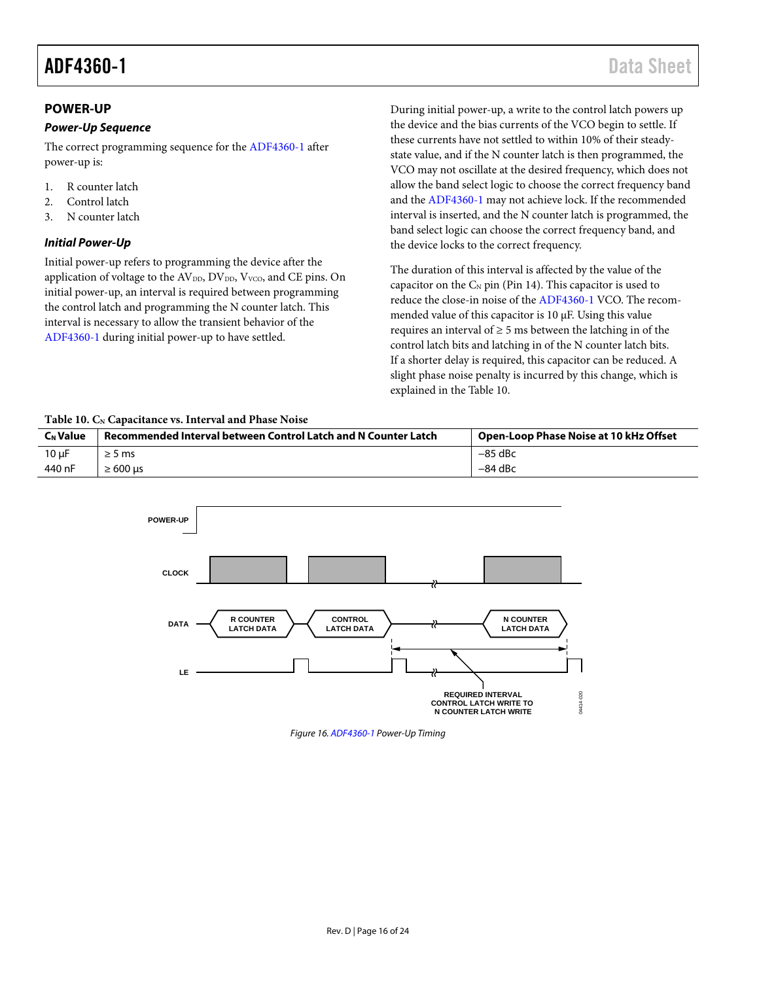### <span id="page-15-0"></span>**POWER-UP**

#### *Power-Up Sequence*

The correct programming sequence for th[e ADF4360-1](http://www.analog.com/adf4360-1?doc=adf4360-1.pdf) after power-up is:

- 1. R counter latch
- 2. Control latch
- 3. N counter latch

#### <span id="page-15-2"></span>*Initial Power-Up*

Initial power-up refers to programming the device after the application of voltage to the  $AV<sub>DD</sub>, DV<sub>DD</sub>, V<sub>VCO</sub>$ , and CE pins. On initial power-up, an interval is required between programming the control latch and programming the N counter latch. This interval is necessary to allow the transient behavior of the [ADF4360-1](http://www.analog.com/adf4360-1?doc=adf4360-1.pdf) during initial power-up to have settled.

During initial power-up, a write to the control latch powers up the device and the bias currents of the VCO begin to settle. If these currents have not settled to within 10% of their steadystate value, and if the N counter latch is then programmed, the VCO may not oscillate at the desired frequency, which does not allow the band select logic to choose the correct frequency band and th[e ADF4360-1](http://www.analog.com/adf4360-1?doc=adf4360-1.pdf) may not achieve lock. If the recommended interval is inserted, and the N counter latch is programmed, the band select logic can choose the correct frequency band, and the device locks to the correct frequency.

The duration of this interval is affected by the value of the capacitor on the  $C_N$  pin (Pin 14). This capacitor is used to reduce the close-in noise of the [ADF4360-1](http://www.analog.com/adf4360-1?doc=adf4360-1.pdf) VCO. The recommended value of this capacitor is 10 µF. Using this value requires an interval of  $\geq 5$  ms between the latching in of the control latch bits and latching in of the N counter latch bits. If a shorter delay is required, this capacitor can be reduced. A slight phase noise penalty is incurred by this change, which is explained in the [Table 10.](#page-15-1)

#### <span id="page-15-1"></span>Table 10. C<sub>N</sub> Capacitance vs. Interval and Phase Noise

| <b>C<sub>N</sub></b> Value | Recommended Interval between Control Latch and N Counter Latch | Open-Loop Phase Noise at 10 kHz Offset |
|----------------------------|----------------------------------------------------------------|----------------------------------------|
| $10 \mu F$                 | $\geq$ 5 ms                                                    | $-85$ dBc                              |
| 440 nF                     | $\geq 600$ us                                                  | $-84$ dBc                              |



*Figure 16[. ADF4360-1](http://www.analog.com/adf4360-1?doc=adf4360-1.pdf) Power-Up Timing*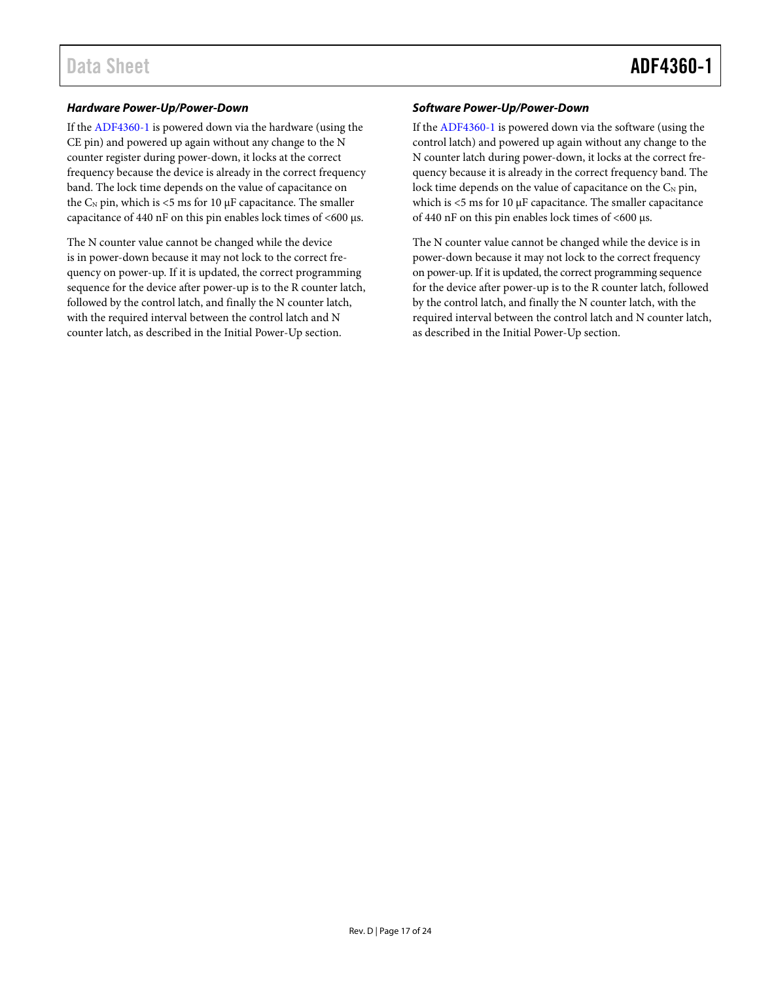#### *Hardware Power-Up/Power-Down*

If th[e ADF4360-1](http://www.analog.com/adf4360-1?doc=adf4360-1.pdf) is powered down via the hardware (using the CE pin) and powered up again without any change to the N counter register during power-down, it locks at the correct frequency because the device is already in the correct frequency band. The lock time depends on the value of capacitance on the  $C_N$  pin, which is <5 ms for 10  $\mu$ F capacitance. The smaller capacitance of 440 nF on this pin enables lock times of <600 µs.

The N counter value cannot be changed while the device is in power-down because it may not lock to the correct frequency on power-up. If it is updated, the correct programming sequence for the device after power-up is to the R counter latch, followed by the control latch, and finally the N counter latch, with the required interval between the control latch and N counter latch, as described in th[e Initial Power-Up](#page-15-2) section.

#### *Software Power-Up/Power-Down*

If th[e ADF4360-1](http://www.analog.com/adf4360-1?doc=adf4360-1.pdf) is powered down via the software (using the control latch) and powered up again without any change to the N counter latch during power-down, it locks at the correct frequency because it is already in the correct frequency band. The lock time depends on the value of capacitance on the  $C_N$  pin, which is <5 ms for 10  $\mu$ F capacitance. The smaller capacitance of 440 nF on this pin enables lock times of <600 µs.

The N counter value cannot be changed while the device is in power-down because it may not lock to the correct frequency on power-up. If it is updated, the correct programming sequence for the device after power-up is to the R counter latch, followed by the control latch, and finally the N counter latch, with the required interval between the control latch and N counter latch, as described in th[e Initial Power-Up](#page-15-2) section.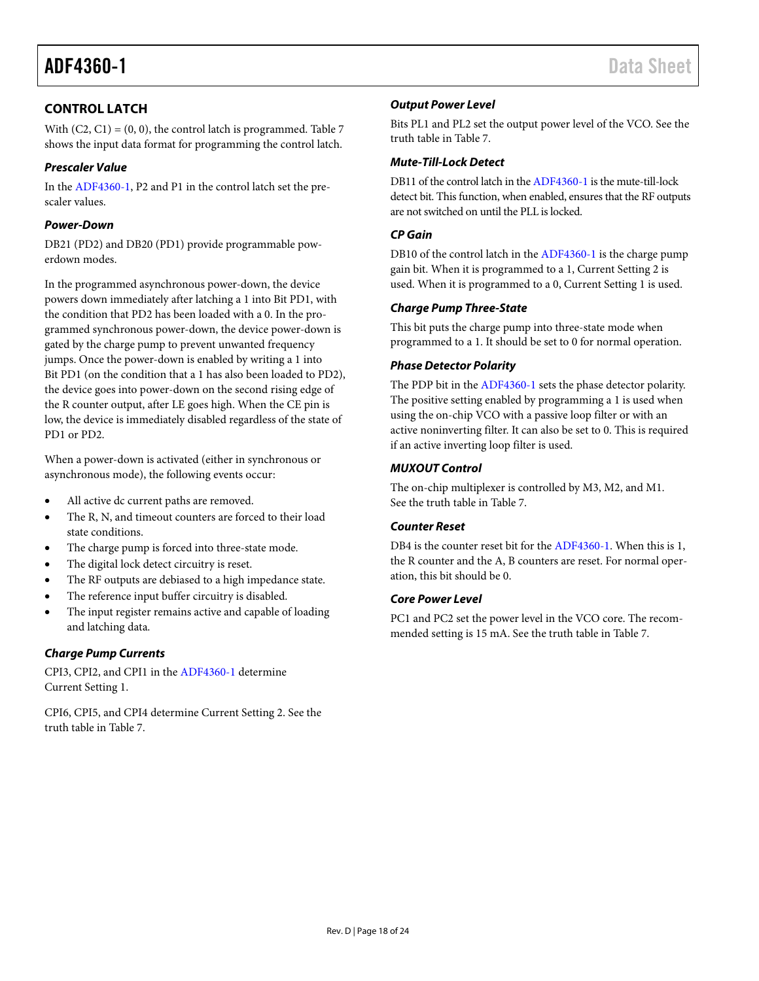## <span id="page-17-0"></span>**CONTROL LATCH**

With  $(C2, C1) = (0, 0)$ , the control latch is programmed[. Table 7](#page-12-0) shows the input data format for programming the control latch.

### *Prescaler Value*

In th[e ADF4360-1,](http://www.analog.com/adf4360-1?doc=adf4360-1.pdf) P2 and P1 in the control latch set the prescaler values.

### *Power-Down*

DB21 (PD2) and DB20 (PD1) provide programmable powerdown modes.

In the programmed asynchronous power-down, the device powers down immediately after latching a 1 into Bit PD1, with the condition that PD2 has been loaded with a 0. In the programmed synchronous power-down, the device power-down is gated by the charge pump to prevent unwanted frequency jumps. Once the power-down is enabled by writing a 1 into Bit PD1 (on the condition that a 1 has also been loaded to PD2), the device goes into power-down on the second rising edge of the R counter output, after LE goes high. When the CE pin is low, the device is immediately disabled regardless of the state of PD1 or PD2.

When a power-down is activated (either in synchronous or asynchronous mode), the following events occur:

- All active dc current paths are removed.
- The R, N, and timeout counters are forced to their load state conditions.
- The charge pump is forced into three-state mode.
- The digital lock detect circuitry is reset.
- The RF outputs are debiased to a high impedance state.
- The reference input buffer circuitry is disabled.
- The input register remains active and capable of loading and latching data.

#### *Charge Pump Currents*

CPI3, CPI2, and CPI1 in th[e ADF4360-1](http://www.analog.com/adf4360-1?doc=adf4360-1.pdf) determine Current Setting 1.

CPI6, CPI5, and CPI4 determine Current Setting 2. See the truth table in [Table 7.](#page-12-0)

#### *Output Power Level*

Bits PL1 and PL2 set the output power level of the VCO. See the truth table in [Table 7.](#page-12-0)

#### *Mute-Till-Lock Detect*

DB11 of the control latch in th[e ADF4360-1](http://www.analog.com/adf4360-1?doc=adf4360-1.pdf) is the mute-till-lock detect bit. This function, when enabled, ensures that the RF outputs are not switched on until the PLL is locked.

#### *CP Gain*

DB10 of the control latch in th[e ADF4360-1](http://www.analog.com/adf4360-1?doc=adf4360-1.pdf) is the charge pump gain bit. When it is programmed to a 1, Current Setting 2 is used. When it is programmed to a 0, Current Setting 1 is used.

#### *Charge Pump Three-State*

This bit puts the charge pump into three-state mode when programmed to a 1. It should be set to 0 for normal operation.

#### *Phase Detector Polarity*

The PDP bit in the [ADF4360-1](http://www.analog.com/adf4360-1?doc=adf4360-1.pdf) sets the phase detector polarity. The positive setting enabled by programming a 1 is used when using the on-chip VCO with a passive loop filter or with an active noninverting filter. It can also be set to 0. This is required if an active inverting loop filter is used.

#### *MUXOUT Control*

The on-chip multiplexer is controlled by M3, M2, and M1. See the truth table in [Table 7.](#page-12-0)

### *Counter Reset*

DB4 is the counter reset bit for th[e ADF4360-1.](http://www.analog.com/adf4360-1?doc=adf4360-1.pdf) When this is 1, the R counter and the A, B counters are reset. For normal operation, this bit should be 0.

#### *Core Power Level*

PC1 and PC2 set the power level in the VCO core. The recommended setting is 15 mA. See the truth table in [Table 7.](#page-12-0)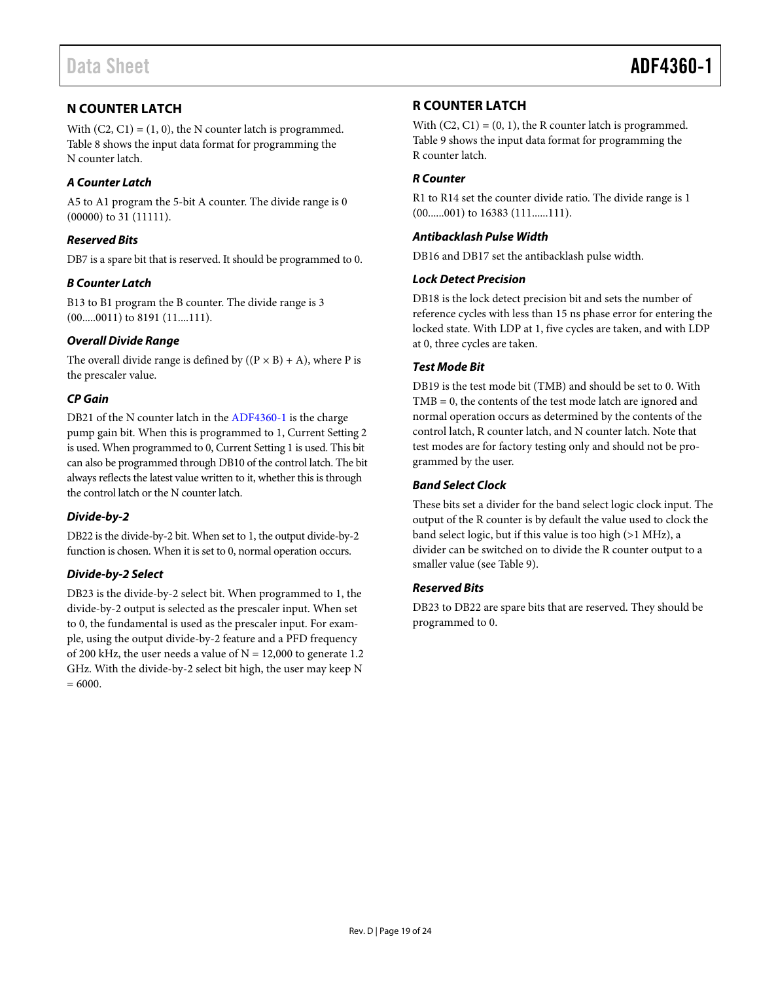## <span id="page-18-0"></span>**N COUNTER LATCH**

With  $(C2, C1) = (1, 0)$ , the N counter latch is programmed. [Table 8](#page-13-0) shows the input data format for programming the N counter latch.

### *A Counter Latch*

A5 to A1 program the 5-bit A counter. The divide range is 0 (00000) to 31 (11111).

#### *Reserved Bits*

DB7 is a spare bit that is reserved. It should be programmed to 0.

#### *B Counter Latch*

B13 to B1 program the B counter. The divide range is 3 (00.....0011) to 8191 (11....111).

#### *Overall Divide Range*

The overall divide range is defined by  $((P \times B) + A)$ , where P is the prescaler value.

### *CP Gain*

DB21 of the N counter latch in the [ADF4360-1](http://www.analog.com/adf4360-1?doc=adf4360-1.pdf) is the charge pump gain bit. When this is programmed to 1, Current Setting 2 is used. When programmed to 0, Current Setting 1 is used. This bit can also be programmed through DB10 of the control latch. The bit always reflects the latest value written to it, whether this is through the control latch or the N counter latch.

### *Divide-by-2*

DB22 is the divide-by-2 bit. When set to 1, the output divide-by-2 function is chosen. When it is set to 0, normal operation occurs.

#### *Divide-by-2 Select*

DB23 is the divide-by-2 select bit. When programmed to 1, the divide-by-2 output is selected as the prescaler input. When set to 0, the fundamental is used as the prescaler input. For example, using the output divide-by-2 feature and a PFD frequency of 200 kHz, the user needs a value of  $N = 12,000$  to generate 1.2 GHz. With the divide-by-2 select bit high, the user may keep N  $= 6000.$ 

### <span id="page-18-1"></span>**R COUNTER LATCH**

With  $(C2, C1) = (0, 1)$ , the R counter latch is programmed. [Table 9](#page-14-0) shows the input data format for programming the R counter latch.

#### *R Counter*

R1 to R14 set the counter divide ratio. The divide range is 1 (00......001) to 16383 (111......111).

#### *Antibacklash Pulse Width*

DB16 and DB17 set the antibacklash pulse width.

#### *Lock Detect Precision*

DB18 is the lock detect precision bit and sets the number of reference cycles with less than 15 ns phase error for entering the locked state. With LDP at 1, five cycles are taken, and with LDP at 0, three cycles are taken.

#### *Test Mode Bit*

DB19 is the test mode bit (TMB) and should be set to 0. With TMB = 0, the contents of the test mode latch are ignored and normal operation occurs as determined by the contents of the control latch, R counter latch, and N counter latch. Note that test modes are for factory testing only and should not be programmed by the user.

#### *Band Select Clock*

These bits set a divider for the band select logic clock input. The output of the R counter is by default the value used to clock the band select logic, but if this value is too high (>1 MHz), a divider can be switched on to divide the R counter output to a smaller value (se[e Table 9\)](#page-14-0).

### *Reserved Bits*

DB23 to DB22 are spare bits that are reserved. They should be programmed to 0.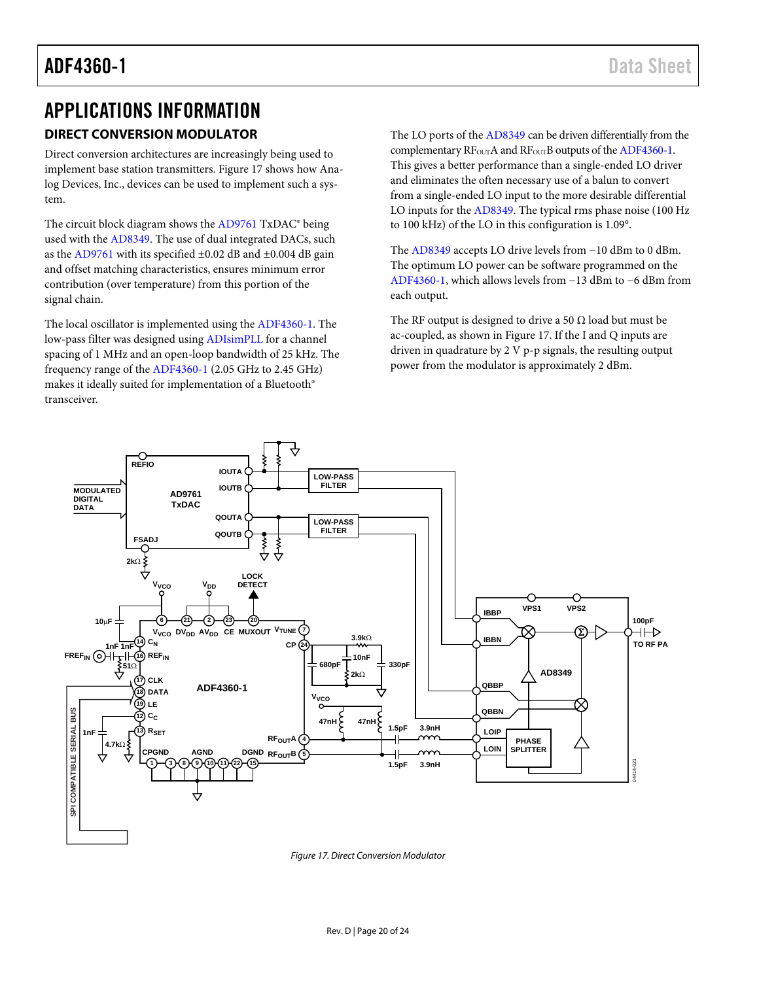# <span id="page-19-0"></span>APPLICATIONS INFORMATION

## <span id="page-19-1"></span>**DIRECT CONVERSION MODULATOR**

Direct conversion architectures are increasingly being used to implement base station transmitters[. Figure 17](#page-19-2) shows how Analog Devices, Inc., devices can be used to implement such a system.

The circuit block diagram shows the [AD9761](http://www.analog.com/ad9761?doc=adf4360-1.pdf) TxDAC® being used with the [AD8349.](http://www.analog.com/ad8349?doc=adf4360-1.pdf) The use of dual integrated DACs, such as the [AD9761](http://www.analog.com/ad9761?doc=adf4360-1.pdf) with its specified  $\pm 0.02$  dB and  $\pm 0.004$  dB gain and offset matching characteristics, ensures minimum error contribution (over temperature) from this portion of the signal chain.

The local oscillator is implemented using the [ADF4360-1.](http://www.analog.com/adf4360-1?doc=adf4360-1.pdf) The low-pass filter was designed usin[g ADIsimPLL](http://www.analog.com/ADIsimPLL?doc=adf4360-1.pdf) for a channel spacing of 1 MHz and an open-loop bandwidth of 25 kHz. The frequency range of th[e ADF4360-1](http://www.analog.com/adf4360-1?doc=adf4360-1.pdf) (2.05 GHz to 2.45 GHz) makes it ideally suited for implementation of a Bluetooth® transceiver.

The LO ports of the [AD8349](http://www.analog.com/ad8349?doc=adf4360-1.pdf) can be driven differentially from the complementary RF<sub>OUT</sub>A and RF<sub>OUT</sub>B outputs of the ADF4360-1. This gives a better performance than a single-ended LO driver and eliminates the often necessary use of a balun to convert from a single-ended LO input to the more desirable differential LO inputs for th[e AD8349.](http://www.analog.com/ad8349?doc=adf4360-1.pdf) The typical rms phase noise (100 Hz to 100 kHz) of the LO in this configuration is 1.09°.

The [AD8349](http://www.analog.com/ad8349?doc=adf4360-1.pdf) accepts LO drive levels from −10 dBm to 0 dBm. The optimum LO power can be software programmed on the [ADF4360-1,](http://www.analog.com/adf4360-1?doc=adf4360-1.pdf) which allows levels from −13 dBm to −6 dBm from each output.

The RF output is designed to drive a 50  $\Omega$  load but must be ac-coupled, as shown i[n Figure 17.](#page-19-2) If the I and Q inputs are driven in quadrature by 2 V p-p signals, the resulting output power from the modulator is approximately 2 dBm.



<span id="page-19-2"></span>*Figure 17. Direct Conversion Modulator*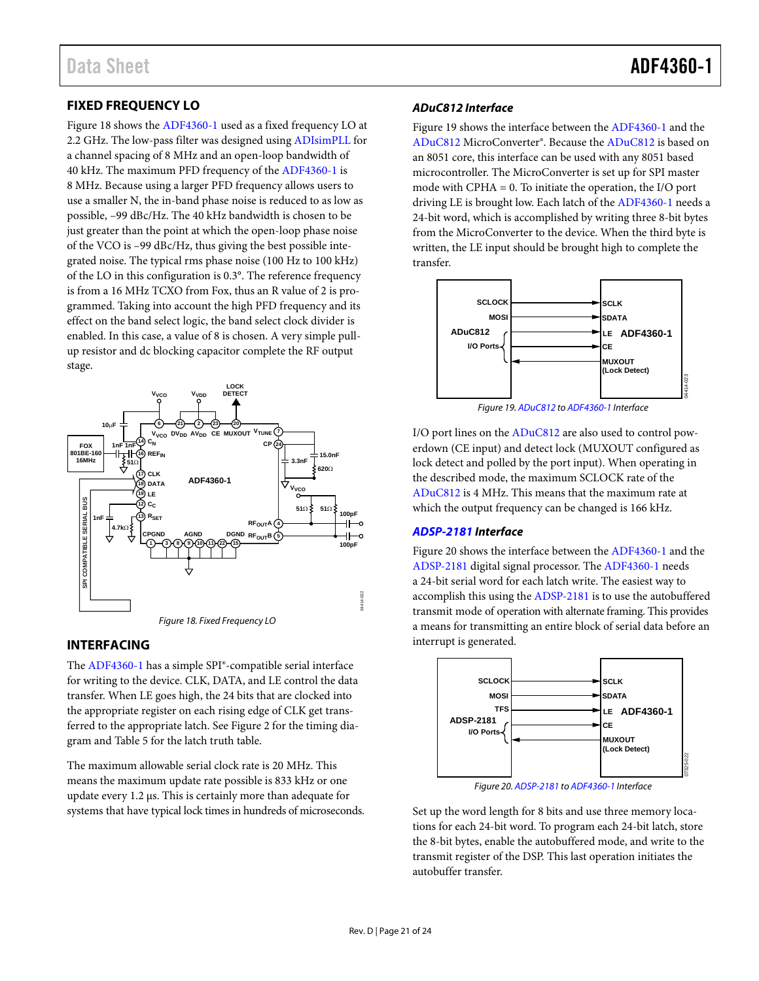## <span id="page-20-0"></span>**FIXED FREQUENCY LO**

[Figure 18 s](#page-20-2)hows th[e ADF4360-1](http://www.analog.com/adf4360-1?doc=adf4360-1.pdf) used as a fixed frequency LO at 2.2 GHz. The low-pass filter was designed usin[g ADIsimPLL](http://www.analog.com/ADIsimPLL?doc=adf4360-1.pdf) for a channel spacing of 8 MHz and an open-loop bandwidth of 40 kHz. The maximum PFD frequency of th[e ADF4360-1](http://www.analog.com/adf4360-1?doc=adf4360-1.pdf) is 8 MHz. Because using a larger PFD frequency allows users to use a smaller N, the in-band phase noise is reduced to as low as possible, –99 dBc/Hz. The 40 kHz bandwidth is chosen to be just greater than the point at which the open-loop phase noise of the VCO is –99 dBc/Hz, thus giving the best possible integrated noise. The typical rms phase noise (100 Hz to 100 kHz) of the LO in this configuration is 0.3°. The reference frequency is from a 16 MHz TCXO from Fox, thus an R value of 2 is programmed. Taking into account the high PFD frequency and its effect on the band select logic, the band select clock divider is enabled. In this case, a value of 8 is chosen. A very simple pullup resistor and dc blocking capacitor complete the RF output stage.



#### <span id="page-20-2"></span><span id="page-20-1"></span>**INTERFACING**

The [ADF4360-1 h](http://www.analog.com/adf4360-1?doc=adf4360-1.pdf)as a simple SPI®-compatible serial interface for writing to the device. CLK, DATA, and LE control the data transfer. When LE goes high, the 24 bits that are clocked into the appropriate register on each rising edge of CLK get transferred to the appropriate latch. Se[e Figure 2 f](#page-4-1)or the timing diagram an[d Table 5 f](#page-9-4)or the latch truth table.

The maximum allowable serial clock rate is 20 MHz. This means the maximum update rate possible is 833 kHz or one update every 1.2 μs. This is certainly more than adequate for systems that have typical lock times in hundreds of microseconds.

#### **ADuC812 Interface**

[Figure 19 s](#page-20-3)hows the interface between th[e ADF4360-1](http://www.analog.com/adf4360-1?doc=adf4360-1.pdf) and the [ADuC812 M](http://www.analog.com/ADuC812?doc=adf4360-1.pdf)icroConverter®. Because th[e ADuC812 i](http://www.analog.com/ADuC812?doc=adf4360-1.pdf)s based on an 8051 core, this interface can be used with any 8051 based microcontroller. The MicroConverter is set up for SPI master mode with CPHA = 0. To initiate the operation, the I/O port driving LE is brought low. Each latch of th[e ADF4360-1](http://www.analog.com/adf4360-1?doc=adf4360-1.pdf) needs a 24-bit word, which is accomplished by writing three 8-bit bytes from the MicroConverter to the device. When the third byte is written, the LE input should be brought high to complete the transfer.



Figure 19[. ADuC812 t](http://www.analog.com/ADuC812?doc=adf4360-1.pdf)[o ADF4360-1 I](http://www.analog.com/adf4360-1?doc=adf4360-1.pdf)nterface

<span id="page-20-3"></span>I/O port lines on the [ADuC812 a](http://www.analog.com/ADuC812?doc=adf4360-1.pdf)re also used to control powerdown (CE input) and detect lock (MUXOUT configured as lock detect and polled by the port input). When operating in the described mode, the maximum SCLOCK rate of the [ADuC812 i](http://www.analog.com/ADuC812?doc=adf4360-1.pdf)s 4 MHz. This means that the maximum rate at which the output frequency can be changed is 166 kHz.

#### **[ADSP-2181 I](http://www.analog.com/ADSP-2181?doc=ADF4360-1.pdf)nterface**

[Figure 20 s](#page-20-4)hows the interface between th[e ADF4360-1](http://www.analog.com/adf4360-1?doc=adf4360-1.pdf) and the [ADSP-2181 d](http://www.analog.com/ADSP-2181?doc=ADF4360-1.pdf)igital signal processor. Th[e ADF4360-1](http://www.analog.com/adf4360-1?doc=adf4360-1.pdf) needs a 24-bit serial word for each latch write. The easiest way to accomplish this using the [ADSP-2181 i](http://www.analog.com/ADSP-2181?doc=ADF4360-1.pdf)s to use the autobuffered transmit mode of operation with alternate framing. This provides a means for transmitting an entire block of serial data before an interrupt is generated.



Figure 20[. ADSP-2181 t](http://www.analog.com/ADSP-2181?doc=ADF4360-1.pdf)[o ADF4360-1 I](http://www.analog.com/adf4360-1?doc=adf4360-1.pdf)nterface

<span id="page-20-4"></span>Set up the word length for 8 bits and use three memory locations for each 24-bit word. To program each 24-bit latch, store the 8-bit bytes, enable the autobuffered mode, and write to the transmit register of the DSP. This last operation initiates the autobuffer transfer.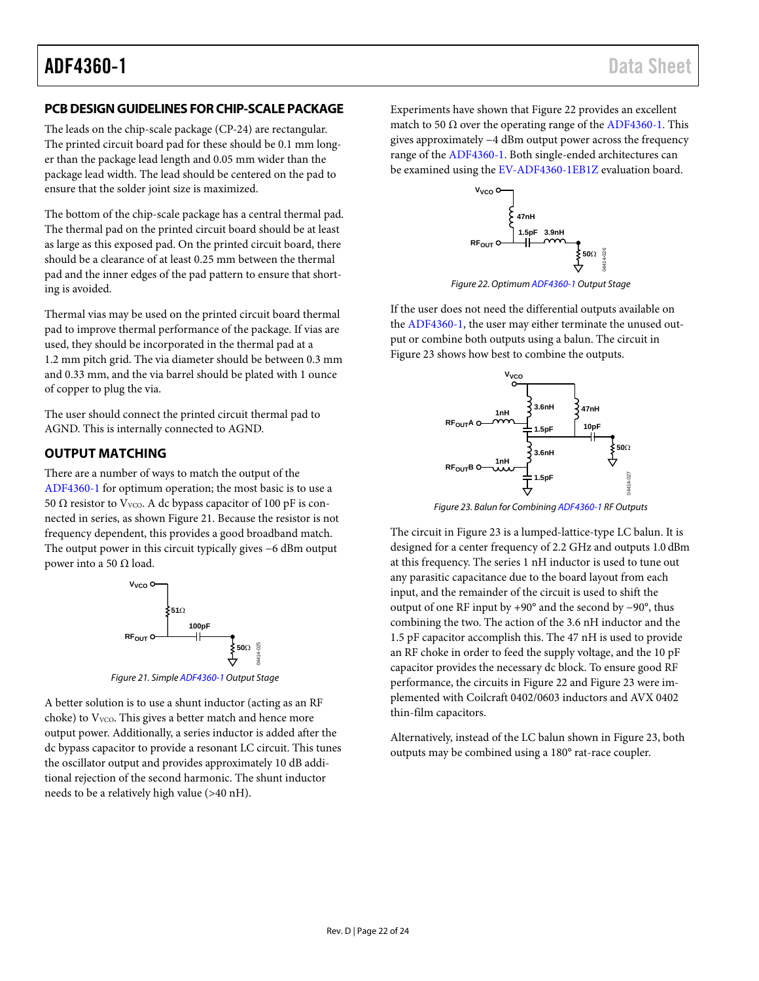### <span id="page-21-0"></span>**PCB DESIGN GUIDELINES FOR CHIP-SCALE PACKAGE**

The leads on the chip-scale package (CP-24) are rectangular. The printed circuit board pad for these should be 0.1 mm longer than the package lead length and 0.05 mm wider than the package lead width. The lead should be centered on the pad to ensure that the solder joint size is maximized.

The bottom of the chip-scale package has a central thermal pad. The thermal pad on the printed circuit board should be at least as large as this exposed pad. On the printed circuit board, there should be a clearance of at least 0.25 mm between the thermal pad and the inner edges of the pad pattern to ensure that shorting is avoided.

Thermal vias may be used on the printed circuit board thermal pad to improve thermal performance of the package. If vias are used, they should be incorporated in the thermal pad at a 1.2 mm pitch grid. The via diameter should be between 0.3 mm and 0.33 mm, and the via barrel should be plated with 1 ounce of copper to plug the via.

The user should connect the printed circuit thermal pad to AGND. This is internally connected to AGND.

### <span id="page-21-1"></span>**OUTPUT MATCHING**

There are a number of ways to match the output of the [ADF4360-1](http://www.analog.com/adf4360-1?doc=adf4360-1.pdf) for optimum operation; the most basic is to use a 50  $\Omega$  resistor to V<sub>VCO</sub>. A dc bypass capacitor of 100 pF is connected in series, as show[n Figure 21.](#page-21-2) Because the resistor is not frequency dependent, this provides a good broadband match. The output power in this circuit typically gives −6 dBm output power into a 50  $Ω$  load.



*Figure 21. Simpl[e ADF4360-1](http://www.analog.com/adf4360-1?doc=adf4360-1.pdf) Output Stage*

<span id="page-21-2"></span>A better solution is to use a shunt inductor (acting as an RF choke) to V<sub>VCO</sub>. This gives a better match and hence more output power. Additionally, a series inductor is added after the dc bypass capacitor to provide a resonant LC circuit. This tunes the oscillator output and provides approximately 10 dB additional rejection of the second harmonic. The shunt inductor needs to be a relatively high value (>40 nH).

Experiments have shown that [Figure 22](#page-21-3) provides an excellent match to 50  $\Omega$  over the operating range of the [ADF4360-1.](http://www.analog.com/adf4360-1?doc=adf4360-1.pdf) This gives approximately −4 dBm output power across the frequency range of the [ADF4360-1.](http://www.analog.com/adf4360-1?doc=adf4360-1.pdf) Both single-ended architectures can be examined using th[e EV-ADF4360-1EB1Z](http://www.analog.com/adf4360-1?doc=adf4360-1.pdf) evaluation board.



*Figure 22. Optimu[m ADF4360-1](http://www.analog.com/adf4360-1?doc=adf4360-1.pdf) Output Stage* 

<span id="page-21-3"></span>If the user does not need the differential outputs available on the [ADF4360-1,](http://www.analog.com/adf4360-1?doc=adf4360-1.pdf) the user may either terminate the unused output or combine both outputs using a balun. The circuit in [Figure 23](#page-21-4) shows how best to combine the outputs.



*Figure 23. Balun for Combinin[g ADF4360-1](http://www.analog.com/adf4360-1?doc=adf4360-1.pdf) RF Outputs*

<span id="page-21-4"></span>The circuit i[n Figure 23](#page-21-4) is a lumped-lattice-type LC balun. It is designed for a center frequency of 2.2 GHz and outputs 1.0 dBm at this frequency. The series 1 nH inductor is used to tune out any parasitic capacitance due to the board layout from each input, and the remainder of the circuit is used to shift the output of one RF input by +90° and the second by −90°, thus combining the two. The action of the 3.6 nH inductor and the 1.5 pF capacitor accomplish this. The 47 nH is used to provide an RF choke in order to feed the supply voltage, and the 10 pF capacitor provides the necessary dc block. To ensure good RF performance, the circuits in [Figure 22](#page-21-3) an[d Figure 23](#page-21-4) were implemented with Coilcraft 0402/0603 inductors and AVX 0402 thin-film capacitors.

Alternatively, instead of the LC balun shown in [Figure 23,](#page-21-4) both outputs may be combined using a 180° rat-race coupler.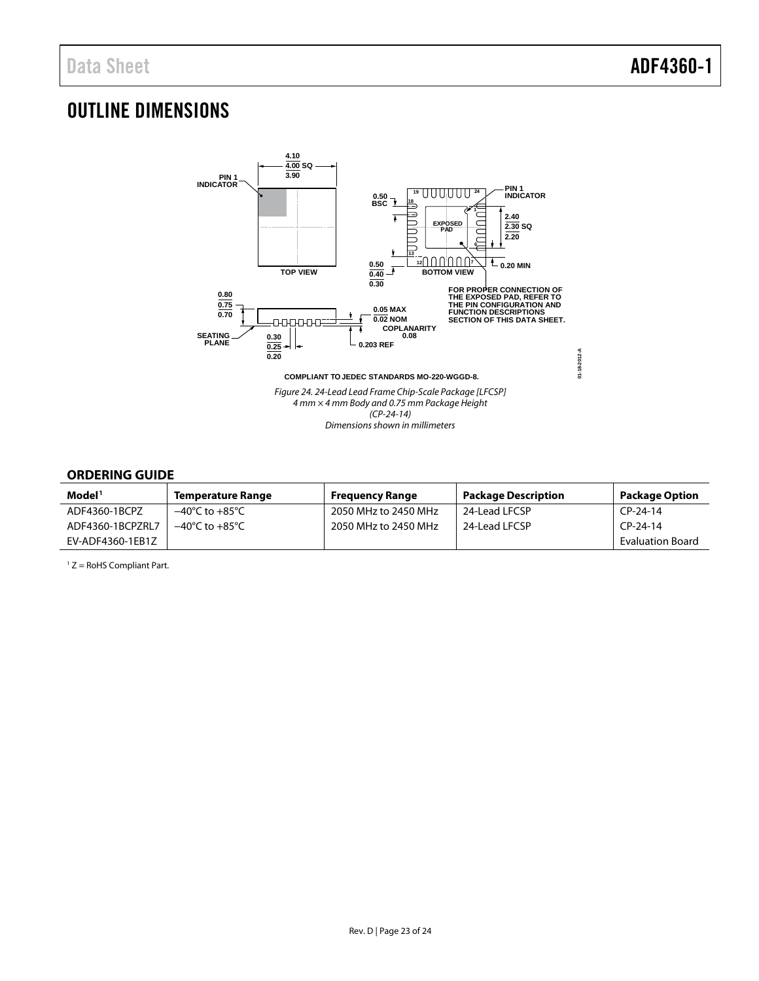## <span id="page-22-0"></span>OUTLINE DIMENSIONS



#### <span id="page-22-1"></span>**ORDERING GUIDE**

| Model <sup>1</sup> | <b>Temperature Range</b>           | <b>Frequency Range</b> | <b>Package Description</b> | <b>Package Option</b>   |
|--------------------|------------------------------------|------------------------|----------------------------|-------------------------|
| ADF4360-1BCPZ      | $-40^{\circ}$ C to $+85^{\circ}$ C | 2050 MHz to 2450 MHz   | 24-Lead LFCSP              | $CP-24-14$              |
| ADF4360-1BCPZRL7   | $-40^{\circ}$ C to $+85^{\circ}$ C | 2050 MHz to 2450 MHz   | 24-Lead LFCSP              | $CP-24-14$              |
| EV-ADF4360-1EB1Z   |                                    |                        |                            | <b>Evaluation Board</b> |

 $1 Z =$  RoHS Compliant Part.